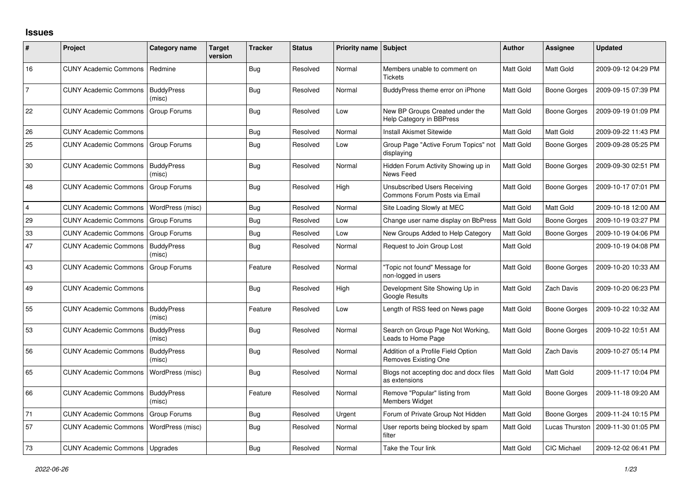## **Issues**

| ∦              | Project                      | Category name               | <b>Target</b><br>version | <b>Tracker</b> | <b>Status</b> | Priority name Subject |                                                                      | <b>Author</b>    | Assignee            | <b>Updated</b>      |
|----------------|------------------------------|-----------------------------|--------------------------|----------------|---------------|-----------------------|----------------------------------------------------------------------|------------------|---------------------|---------------------|
| 16             | <b>CUNY Academic Commons</b> | Redmine                     |                          | <b>Bug</b>     | Resolved      | Normal                | Members unable to comment on<br><b>Tickets</b>                       | Matt Gold        | Matt Gold           | 2009-09-12 04:29 PM |
| 7              | <b>CUNY Academic Commons</b> | <b>BuddyPress</b><br>(misc) |                          | <b>Bug</b>     | Resolved      | Normal                | BuddyPress theme error on iPhone                                     | Matt Gold        | Boone Gorges        | 2009-09-15 07:39 PM |
| 22             | <b>CUNY Academic Commons</b> | Group Forums                |                          | <b>Bug</b>     | Resolved      | Low                   | New BP Groups Created under the<br>Help Category in BBPress          | Matt Gold        | Boone Gorges        | 2009-09-19 01:09 PM |
| 26             | <b>CUNY Academic Commons</b> |                             |                          | Bug            | Resolved      | Normal                | Install Akismet Sitewide                                             | Matt Gold        | Matt Gold           | 2009-09-22 11:43 PM |
| 25             | <b>CUNY Academic Commons</b> | Group Forums                |                          | Bug            | Resolved      | Low                   | Group Page "Active Forum Topics" not<br>displaying                   | <b>Matt Gold</b> | Boone Gorges        | 2009-09-28 05:25 PM |
| 30             | <b>CUNY Academic Commons</b> | <b>BuddyPress</b><br>(misc) |                          | <b>Bug</b>     | Resolved      | Normal                | Hidden Forum Activity Showing up in<br>News Feed                     | Matt Gold        | <b>Boone Gorges</b> | 2009-09-30 02:51 PM |
| 48             | <b>CUNY Academic Commons</b> | Group Forums                |                          | <b>Bug</b>     | Resolved      | High                  | <b>Unsubscribed Users Receiving</b><br>Commons Forum Posts via Email | Matt Gold        | Boone Gorges        | 2009-10-17 07:01 PM |
| $\overline{4}$ | <b>CUNY Academic Commons</b> | WordPress (misc)            |                          | <b>Bug</b>     | Resolved      | Normal                | Site Loading Slowly at MEC                                           | Matt Gold        | Matt Gold           | 2009-10-18 12:00 AM |
| 29             | <b>CUNY Academic Commons</b> | Group Forums                |                          | <b>Bug</b>     | Resolved      | Low                   | Change user name display on BbPress                                  | Matt Gold        | <b>Boone Gorges</b> | 2009-10-19 03:27 PM |
| 33             | <b>CUNY Academic Commons</b> | Group Forums                |                          | <b>Bug</b>     | Resolved      | Low                   | New Groups Added to Help Category                                    | Matt Gold        | Boone Gorges        | 2009-10-19 04:06 PM |
| 47             | <b>CUNY Academic Commons</b> | <b>BuddyPress</b><br>(misc) |                          | <b>Bug</b>     | Resolved      | Normal                | Request to Join Group Lost                                           | Matt Gold        |                     | 2009-10-19 04:08 PM |
| 43             | <b>CUNY Academic Commons</b> | <b>Group Forums</b>         |                          | Feature        | Resolved      | Normal                | "Topic not found" Message for<br>non-logged in users                 | Matt Gold        | <b>Boone Gorges</b> | 2009-10-20 10:33 AM |
| 49             | <b>CUNY Academic Commons</b> |                             |                          | <b>Bug</b>     | Resolved      | High                  | Development Site Showing Up in<br><b>Google Results</b>              | Matt Gold        | Zach Davis          | 2009-10-20 06:23 PM |
| 55             | <b>CUNY Academic Commons</b> | <b>BuddyPress</b><br>(misc) |                          | Feature        | Resolved      | Low                   | Length of RSS feed on News page                                      | Matt Gold        | Boone Gorges        | 2009-10-22 10:32 AM |
| 53             | <b>CUNY Academic Commons</b> | <b>BuddyPress</b><br>(misc) |                          | <b>Bug</b>     | Resolved      | Normal                | Search on Group Page Not Working,<br>Leads to Home Page              | Matt Gold        | Boone Gorges        | 2009-10-22 10:51 AM |
| 56             | <b>CUNY Academic Commons</b> | <b>BuddyPress</b><br>(misc) |                          | Bug            | Resolved      | Normal                | Addition of a Profile Field Option<br><b>Removes Existing One</b>    | Matt Gold        | Zach Davis          | 2009-10-27 05:14 PM |
| 65             | <b>CUNY Academic Commons</b> | WordPress (misc)            |                          | Bug            | Resolved      | Normal                | Blogs not accepting doc and docx files<br>as extensions              | Matt Gold        | Matt Gold           | 2009-11-17 10:04 PM |
| 66             | <b>CUNY Academic Commons</b> | <b>BuddyPress</b><br>(misc) |                          | Feature        | Resolved      | Normal                | Remove "Popular" listing from<br><b>Members Widget</b>               | Matt Gold        | Boone Gorges        | 2009-11-18 09:20 AM |
| 71             | <b>CUNY Academic Commons</b> | Group Forums                |                          | Bug            | Resolved      | Urgent                | Forum of Private Group Not Hidden                                    | Matt Gold        | <b>Boone Gorges</b> | 2009-11-24 10:15 PM |
| 57             | <b>CUNY Academic Commons</b> | WordPress (misc)            |                          | Bug            | Resolved      | Normal                | User reports being blocked by spam<br>filter                         | Matt Gold        | Lucas Thurston      | 2009-11-30 01:05 PM |
| 73             | <b>CUNY Academic Commons</b> | Upgrades                    |                          | <b>Bug</b>     | Resolved      | Normal                | Take the Tour link                                                   | Matt Gold        | <b>CIC Michael</b>  | 2009-12-02 06:41 PM |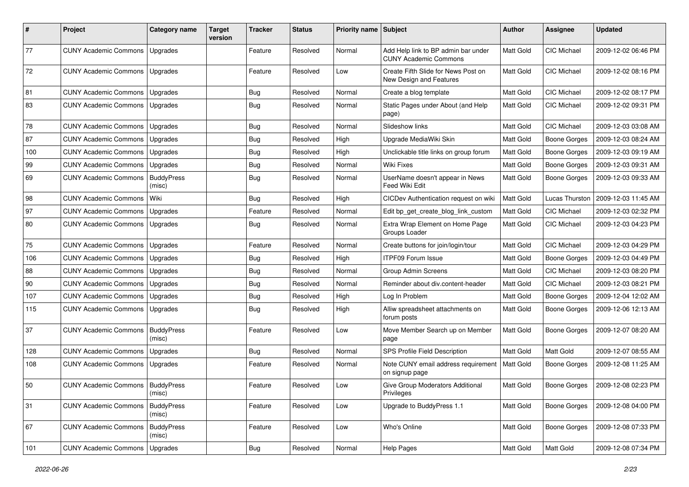| #   | Project                                   | <b>Category name</b>        | <b>Target</b><br>version | <b>Tracker</b> | <b>Status</b> | Priority name Subject |                                                                     | <b>Author</b> | <b>Assignee</b>     | <b>Updated</b>      |
|-----|-------------------------------------------|-----------------------------|--------------------------|----------------|---------------|-----------------------|---------------------------------------------------------------------|---------------|---------------------|---------------------|
| 77  | <b>CUNY Academic Commons</b>              | Upgrades                    |                          | Feature        | Resolved      | Normal                | Add Help link to BP admin bar under<br><b>CUNY Academic Commons</b> | Matt Gold     | <b>CIC Michael</b>  | 2009-12-02 06:46 PM |
| 72  | <b>CUNY Academic Commons</b>              | Upgrades                    |                          | Feature        | Resolved      | Low                   | Create Fifth Slide for News Post on<br>New Design and Features      | Matt Gold     | <b>CIC Michael</b>  | 2009-12-02 08:16 PM |
| 81  | <b>CUNY Academic Commons</b>              | Upgrades                    |                          | <b>Bug</b>     | Resolved      | Normal                | Create a blog template                                              | Matt Gold     | <b>CIC Michael</b>  | 2009-12-02 08:17 PM |
| 83  | <b>CUNY Academic Commons</b>              | Upgrades                    |                          | Bug            | Resolved      | Normal                | Static Pages under About (and Help<br>page)                         | Matt Gold     | <b>CIC Michael</b>  | 2009-12-02 09:31 PM |
| 78  | <b>CUNY Academic Commons</b>              | Upgrades                    |                          | <b>Bug</b>     | Resolved      | Normal                | Slideshow links                                                     | Matt Gold     | CIC Michael         | 2009-12-03 03:08 AM |
| 87  | <b>CUNY Academic Commons</b>              | Upgrades                    |                          | <b>Bug</b>     | Resolved      | High                  | Upgrade MediaWiki Skin                                              | Matt Gold     | <b>Boone Gorges</b> | 2009-12-03 08:24 AM |
| 100 | <b>CUNY Academic Commons</b>              | Upgrades                    |                          | <b>Bug</b>     | Resolved      | High                  | Unclickable title links on group forum                              | Matt Gold     | <b>Boone Gorges</b> | 2009-12-03 09:19 AM |
| 99  | <b>CUNY Academic Commons</b>              | Upgrades                    |                          | <b>Bug</b>     | Resolved      | Normal                | Wiki Fixes                                                          | Matt Gold     | Boone Gorges        | 2009-12-03 09:31 AM |
| 69  | <b>CUNY Academic Commons</b>              | <b>BuddyPress</b><br>(misc) |                          | <b>Bug</b>     | Resolved      | Normal                | UserName doesn't appear in News<br>Feed Wiki Edit                   | Matt Gold     | <b>Boone Gorges</b> | 2009-12-03 09:33 AM |
| 98  | <b>CUNY Academic Commons</b>              | Wiki                        |                          | <b>Bug</b>     | Resolved      | High                  | CICDev Authentication request on wiki                               | Matt Gold     | Lucas Thurston      | 2009-12-03 11:45 AM |
| 97  | <b>CUNY Academic Commons</b>              | Upgrades                    |                          | Feature        | Resolved      | Normal                | Edit bp_get_create_blog_link_custom                                 | Matt Gold     | CIC Michael         | 2009-12-03 02:32 PM |
| 80  | <b>CUNY Academic Commons</b>              | Upgrades                    |                          | Bug            | Resolved      | Normal                | Extra Wrap Element on Home Page<br>Groups Loader                    | Matt Gold     | CIC Michael         | 2009-12-03 04:23 PM |
| 75  | <b>CUNY Academic Commons</b>              | Upgrades                    |                          | Feature        | Resolved      | Normal                | Create buttons for join/login/tour                                  | Matt Gold     | CIC Michael         | 2009-12-03 04:29 PM |
| 106 | <b>CUNY Academic Commons</b>              | Upgrades                    |                          | <b>Bug</b>     | Resolved      | High                  | <b>ITPF09 Forum Issue</b>                                           | Matt Gold     | <b>Boone Gorges</b> | 2009-12-03 04:49 PM |
| 88  | <b>CUNY Academic Commons</b>              | Upgrades                    |                          | <b>Bug</b>     | Resolved      | Normal                | <b>Group Admin Screens</b>                                          | Matt Gold     | CIC Michael         | 2009-12-03 08:20 PM |
| 90  | <b>CUNY Academic Commons</b>              | Upgrades                    |                          | <b>Bug</b>     | Resolved      | Normal                | Reminder about div.content-header                                   | Matt Gold     | CIC Michael         | 2009-12-03 08:21 PM |
| 107 | <b>CUNY Academic Commons</b>              | Upgrades                    |                          | <b>Bug</b>     | Resolved      | High                  | Log In Problem                                                      | Matt Gold     | <b>Boone Gorges</b> | 2009-12-04 12:02 AM |
| 115 | <b>CUNY Academic Commons</b>              | Upgrades                    |                          | <b>Bug</b>     | Resolved      | High                  | Alliw spreadsheet attachments on<br>forum posts                     | Matt Gold     | <b>Boone Gorges</b> | 2009-12-06 12:13 AM |
| 37  | <b>CUNY Academic Commons</b>              | <b>BuddyPress</b><br>(misc) |                          | Feature        | Resolved      | Low                   | Move Member Search up on Member<br>page                             | Matt Gold     | <b>Boone Gorges</b> | 2009-12-07 08:20 AM |
| 128 | <b>CUNY Academic Commons</b>              | Upgrades                    |                          | Bug            | Resolved      | Normal                | SPS Profile Field Description                                       | Matt Gold     | Matt Gold           | 2009-12-07 08:55 AM |
| 108 | <b>CUNY Academic Commons</b>              | Upgrades                    |                          | Feature        | Resolved      | Normal                | Note CUNY email address requirement<br>on signup page               | Matt Gold     | <b>Boone Gorges</b> | 2009-12-08 11:25 AM |
| 50  | <b>CUNY Academic Commons   BuddyPress</b> | (misc)                      |                          | Feature        | Resolved      | Low                   | Give Group Moderators Additional<br>Privileges                      | Matt Gold     | <b>Boone Gorges</b> | 2009-12-08 02:23 PM |
| 31  | <b>CUNY Academic Commons</b>              | <b>BuddyPress</b><br>(misc) |                          | Feature        | Resolved      | Low                   | Upgrade to BuddyPress 1.1                                           | Matt Gold     | <b>Boone Gorges</b> | 2009-12-08 04:00 PM |
| 67  | <b>CUNY Academic Commons</b>              | <b>BuddyPress</b><br>(misc) |                          | Feature        | Resolved      | Low                   | Who's Online                                                        | Matt Gold     | Boone Gorges        | 2009-12-08 07:33 PM |
| 101 | <b>CUNY Academic Commons</b>              | Upgrades                    |                          | <b>Bug</b>     | Resolved      | Normal                | <b>Help Pages</b>                                                   | Matt Gold     | Matt Gold           | 2009-12-08 07:34 PM |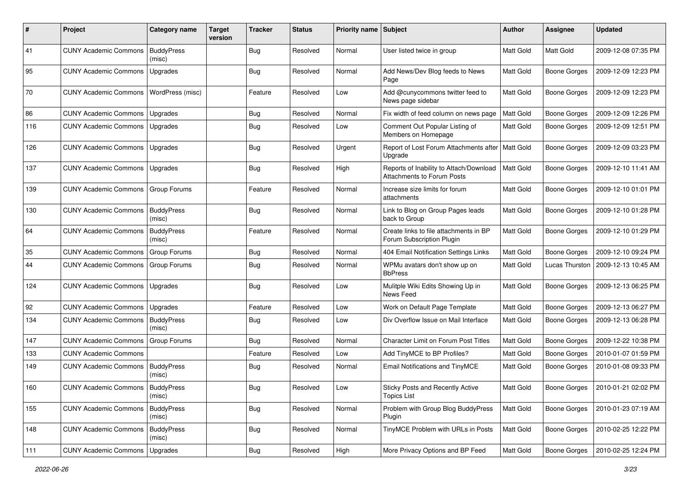| ∦   | Project                            | Category name               | <b>Target</b><br>version | <b>Tracker</b> | <b>Status</b> | Priority name Subject |                                                                                   | <b>Author</b>    | <b>Assignee</b>       | <b>Updated</b>      |
|-----|------------------------------------|-----------------------------|--------------------------|----------------|---------------|-----------------------|-----------------------------------------------------------------------------------|------------------|-----------------------|---------------------|
| 41  | <b>CUNY Academic Commons</b>       | <b>BuddyPress</b><br>(misc) |                          | <b>Bug</b>     | Resolved      | Normal                | User listed twice in group                                                        | Matt Gold        | Matt Gold             | 2009-12-08 07:35 PM |
| 95  | <b>CUNY Academic Commons</b>       | Upgrades                    |                          | <b>Bug</b>     | Resolved      | Normal                | Add News/Dev Blog feeds to News<br>Page                                           | <b>Matt Gold</b> | <b>Boone Gorges</b>   | 2009-12-09 12:23 PM |
| 70  | <b>CUNY Academic Commons</b>       | WordPress (misc)            |                          | Feature        | Resolved      | Low                   | Add @cunycommons twitter feed to<br>News page sidebar                             | <b>Matt Gold</b> | <b>Boone Gorges</b>   | 2009-12-09 12:23 PM |
| 86  | <b>CUNY Academic Commons</b>       | Upgrades                    |                          | <b>Bug</b>     | Resolved      | Normal                | Fix width of feed column on news page                                             | Matt Gold        | <b>Boone Gorges</b>   | 2009-12-09 12:26 PM |
| 116 | <b>CUNY Academic Commons</b>       | Upgrades                    |                          | <b>Bug</b>     | Resolved      | Low                   | Comment Out Popular Listing of<br>Members on Homepage                             | Matt Gold        | Boone Gorges          | 2009-12-09 12:51 PM |
| 126 | <b>CUNY Academic Commons</b>       | Upgrades                    |                          | Bug            | Resolved      | Urgent                | Report of Lost Forum Attachments after   Matt Gold<br>Upgrade                     |                  | <b>Boone Gorges</b>   | 2009-12-09 03:23 PM |
| 137 | <b>CUNY Academic Commons</b>       | <b>Upgrades</b>             |                          | <b>Bug</b>     | Resolved      | High                  | Reports of Inability to Attach/Download   Matt Gold<br>Attachments to Forum Posts |                  | Boone Gorges          | 2009-12-10 11:41 AM |
| 139 | <b>CUNY Academic Commons</b>       | <b>Group Forums</b>         |                          | Feature        | Resolved      | Normal                | Increase size limits for forum<br>attachments                                     | <b>Matt Gold</b> | Boone Gorges          | 2009-12-10 01:01 PM |
| 130 | <b>CUNY Academic Commons</b>       | <b>BuddyPress</b><br>(misc) |                          | <b>Bug</b>     | Resolved      | Normal                | Link to Blog on Group Pages leads<br>back to Group                                | Matt Gold        | <b>Boone Gorges</b>   | 2009-12-10 01:28 PM |
| 64  | <b>CUNY Academic Commons</b>       | <b>BuddyPress</b><br>(misc) |                          | Feature        | Resolved      | Normal                | Create links to file attachments in BP<br>Forum Subscription Plugin               | Matt Gold        | <b>Boone Gorges</b>   | 2009-12-10 01:29 PM |
| 35  | <b>CUNY Academic Commons</b>       | <b>Group Forums</b>         |                          | <b>Bug</b>     | Resolved      | Normal                | 404 Email Notification Settings Links                                             | Matt Gold        | <b>Boone Gorges</b>   | 2009-12-10 09:24 PM |
| 44  | <b>CUNY Academic Commons</b>       | Group Forums                |                          | Bug            | Resolved      | Normal                | WPMu avatars don't show up on<br><b>BbPress</b>                                   | Matt Gold        | <b>Lucas Thurston</b> | 2009-12-13 10:45 AM |
| 124 | <b>CUNY Academic Commons</b>       | Upgrades                    |                          | <b>Bug</b>     | Resolved      | Low                   | Mulitple Wiki Edits Showing Up in<br>News Feed                                    | <b>Matt Gold</b> | <b>Boone Gorges</b>   | 2009-12-13 06:25 PM |
| 92  | <b>CUNY Academic Commons</b>       | Upgrades                    |                          | Feature        | Resolved      | Low                   | Work on Default Page Template                                                     | Matt Gold        | Boone Gorges          | 2009-12-13 06:27 PM |
| 134 | <b>CUNY Academic Commons</b>       | <b>BuddyPress</b><br>(misc) |                          | <b>Bug</b>     | Resolved      | Low                   | Div Overflow Issue on Mail Interface                                              | Matt Gold        | Boone Gorges          | 2009-12-13 06:28 PM |
| 147 | <b>CUNY Academic Commons</b>       | <b>Group Forums</b>         |                          | <b>Bug</b>     | Resolved      | Normal                | <b>Character Limit on Forum Post Titles</b>                                       | Matt Gold        | <b>Boone Gorges</b>   | 2009-12-22 10:38 PM |
| 133 | <b>CUNY Academic Commons</b>       |                             |                          | Feature        | Resolved      | Low                   | Add TinyMCE to BP Profiles?                                                       | Matt Gold        | <b>Boone Gorges</b>   | 2010-01-07 01:59 PM |
| 149 | <b>CUNY Academic Commons</b>       | <b>BuddyPress</b><br>(misc) |                          | <b>Bug</b>     | Resolved      | Normal                | Email Notifications and TinyMCE                                                   | <b>Matt Gold</b> | Boone Gorges          | 2010-01-08 09:33 PM |
| 160 | CUNY Academic Commons   BuddyPress | (misc)                      |                          | Bug            | Resolved      | Low                   | Sticky Posts and Recently Active<br><b>Topics List</b>                            | Matt Gold        | Boone Gorges          | 2010-01-21 02:02 PM |
| 155 | <b>CUNY Academic Commons</b>       | <b>BuddyPress</b><br>(misc) |                          | <b>Bug</b>     | Resolved      | Normal                | Problem with Group Blog BuddyPress<br>Plugin                                      | Matt Gold        | <b>Boone Gorges</b>   | 2010-01-23 07:19 AM |
| 148 | <b>CUNY Academic Commons</b>       | <b>BuddyPress</b><br>(misc) |                          | Bug            | Resolved      | Normal                | TinyMCE Problem with URLs in Posts                                                | Matt Gold        | <b>Boone Gorges</b>   | 2010-02-25 12:22 PM |
| 111 | <b>CUNY Academic Commons</b>       | Upgrades                    |                          | <b>Bug</b>     | Resolved      | High                  | More Privacy Options and BP Feed                                                  | Matt Gold        | Boone Gorges          | 2010-02-25 12:24 PM |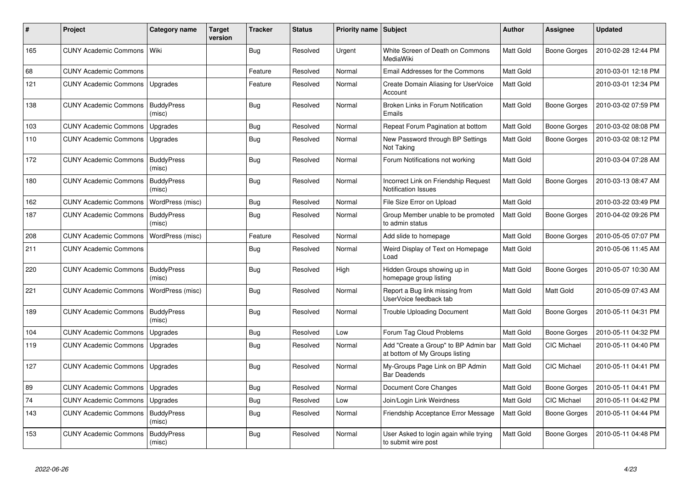| #   | <b>Project</b>               | Category name               | Target<br>version | <b>Tracker</b> | <b>Status</b> | Priority name Subject |                                                                        | <b>Author</b>    | Assignee            | <b>Updated</b>      |
|-----|------------------------------|-----------------------------|-------------------|----------------|---------------|-----------------------|------------------------------------------------------------------------|------------------|---------------------|---------------------|
| 165 | <b>CUNY Academic Commons</b> | Wiki                        |                   | <b>Bug</b>     | Resolved      | Urgent                | White Screen of Death on Commons<br>MediaWiki                          | <b>Matt Gold</b> | <b>Boone Gorges</b> | 2010-02-28 12:44 PM |
| 68  | <b>CUNY Academic Commons</b> |                             |                   | Feature        | Resolved      | Normal                | Email Addresses for the Commons                                        | Matt Gold        |                     | 2010-03-01 12:18 PM |
| 121 | <b>CUNY Academic Commons</b> | Upgrades                    |                   | Feature        | Resolved      | Normal                | Create Domain Aliasing for UserVoice<br>Account                        | <b>Matt Gold</b> |                     | 2010-03-01 12:34 PM |
| 138 | <b>CUNY Academic Commons</b> | <b>BuddyPress</b><br>(misc) |                   | <b>Bug</b>     | Resolved      | Normal                | Broken Links in Forum Notification<br>Emails                           | <b>Matt Gold</b> | <b>Boone Gorges</b> | 2010-03-02 07:59 PM |
| 103 | <b>CUNY Academic Commons</b> | Upgrades                    |                   | Bug            | Resolved      | Normal                | Repeat Forum Pagination at bottom                                      | <b>Matt Gold</b> | Boone Gorges        | 2010-03-02 08:08 PM |
| 110 | <b>CUNY Academic Commons</b> | Upgrades                    |                   | <b>Bug</b>     | Resolved      | Normal                | New Password through BP Settings<br>Not Taking                         | <b>Matt Gold</b> | <b>Boone Gorges</b> | 2010-03-02 08:12 PM |
| 172 | <b>CUNY Academic Commons</b> | <b>BuddyPress</b><br>(misc) |                   | <b>Bug</b>     | Resolved      | Normal                | Forum Notifications not working                                        | <b>Matt Gold</b> |                     | 2010-03-04 07:28 AM |
| 180 | <b>CUNY Academic Commons</b> | <b>BuddyPress</b><br>(misc) |                   | Bug            | Resolved      | Normal                | Incorrect Link on Friendship Request<br><b>Notification Issues</b>     | <b>Matt Gold</b> | <b>Boone Gorges</b> | 2010-03-13 08:47 AM |
| 162 | <b>CUNY Academic Commons</b> | WordPress (misc)            |                   | Bug            | Resolved      | Normal                | File Size Error on Upload                                              | Matt Gold        |                     | 2010-03-22 03:49 PM |
| 187 | <b>CUNY Academic Commons</b> | <b>BuddyPress</b><br>(misc) |                   | Bug            | Resolved      | Normal                | Group Member unable to be promoted<br>to admin status                  | <b>Matt Gold</b> | Boone Gorges        | 2010-04-02 09:26 PM |
| 208 | <b>CUNY Academic Commons</b> | WordPress (misc)            |                   | Feature        | Resolved      | Normal                | Add slide to homepage                                                  | Matt Gold        | <b>Boone Gorges</b> | 2010-05-05 07:07 PM |
| 211 | <b>CUNY Academic Commons</b> |                             |                   | <b>Bug</b>     | Resolved      | Normal                | Weird Display of Text on Homepage<br>Load                              | <b>Matt Gold</b> |                     | 2010-05-06 11:45 AM |
| 220 | <b>CUNY Academic Commons</b> | <b>BuddyPress</b><br>(misc) |                   | Bug            | Resolved      | High                  | Hidden Groups showing up in<br>homepage group listing                  | <b>Matt Gold</b> | <b>Boone Gorges</b> | 2010-05-07 10:30 AM |
| 221 | <b>CUNY Academic Commons</b> | WordPress (misc)            |                   | <b>Bug</b>     | Resolved      | Normal                | Report a Bug link missing from<br>UserVoice feedback tab               | Matt Gold        | Matt Gold           | 2010-05-09 07:43 AM |
| 189 | <b>CUNY Academic Commons</b> | <b>BuddyPress</b><br>(misc) |                   | Bug            | Resolved      | Normal                | <b>Trouble Uploading Document</b>                                      | <b>Matt Gold</b> | <b>Boone Gorges</b> | 2010-05-11 04:31 PM |
| 104 | <b>CUNY Academic Commons</b> | Upgrades                    |                   | <b>Bug</b>     | Resolved      | Low                   | Forum Tag Cloud Problems                                               | Matt Gold        | <b>Boone Gorges</b> | 2010-05-11 04:32 PM |
| 119 | <b>CUNY Academic Commons</b> | Upgrades                    |                   | <b>Bug</b>     | Resolved      | Normal                | Add "Create a Group" to BP Admin bar<br>at bottom of My Groups listing | <b>Matt Gold</b> | <b>CIC Michael</b>  | 2010-05-11 04:40 PM |
| 127 | <b>CUNY Academic Commons</b> | Upgrades                    |                   | <b>Bug</b>     | Resolved      | Normal                | My-Groups Page Link on BP Admin<br><b>Bar Deadends</b>                 | <b>Matt Gold</b> | <b>CIC Michael</b>  | 2010-05-11 04:41 PM |
| 89  | <b>CUNY Academic Commons</b> | Upgrades                    |                   | <b>Bug</b>     | Resolved      | Normal                | Document Core Changes                                                  | Matt Gold        | <b>Boone Gorges</b> | 2010-05-11 04:41 PM |
| 74  | <b>CUNY Academic Commons</b> | Upgrades                    |                   | <b>Bug</b>     | Resolved      | Low                   | Join/Login Link Weirdness                                              | Matt Gold        | <b>CIC Michael</b>  | 2010-05-11 04:42 PM |
| 143 | <b>CUNY Academic Commons</b> | <b>BuddyPress</b><br>(misc) |                   | Bug            | Resolved      | Normal                | Friendship Acceptance Error Message                                    | <b>Matt Gold</b> | Boone Gorges        | 2010-05-11 04:44 PM |
| 153 | <b>CUNY Academic Commons</b> | <b>BuddyPress</b><br>(misc) |                   | <b>Bug</b>     | Resolved      | Normal                | User Asked to login again while trying<br>to submit wire post          | Matt Gold        | Boone Gorges        | 2010-05-11 04:48 PM |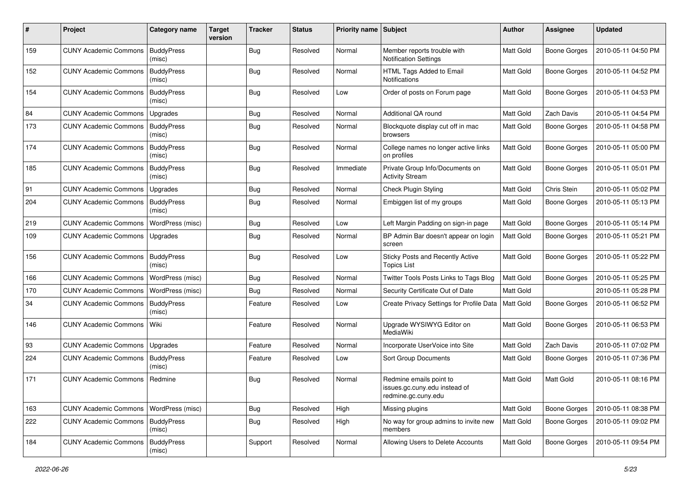| #   | Project                      | <b>Category name</b>        | <b>Target</b><br>version | <b>Tracker</b> | <b>Status</b> | Priority name Subject |                                                                                 | <b>Author</b>    | <b>Assignee</b>     | <b>Updated</b>      |
|-----|------------------------------|-----------------------------|--------------------------|----------------|---------------|-----------------------|---------------------------------------------------------------------------------|------------------|---------------------|---------------------|
| 159 | <b>CUNY Academic Commons</b> | <b>BuddyPress</b><br>(misc) |                          | <b>Bug</b>     | Resolved      | Normal                | Member reports trouble with<br><b>Notification Settings</b>                     | Matt Gold        | <b>Boone Gorges</b> | 2010-05-11 04:50 PM |
| 152 | <b>CUNY Academic Commons</b> | <b>BuddyPress</b><br>(misc) |                          | <b>Bug</b>     | Resolved      | Normal                | HTML Tags Added to Email<br>Notifications                                       | <b>Matt Gold</b> | <b>Boone Gorges</b> | 2010-05-11 04:52 PM |
| 154 | <b>CUNY Academic Commons</b> | <b>BuddyPress</b><br>(misc) |                          | <b>Bug</b>     | Resolved      | Low                   | Order of posts on Forum page                                                    | Matt Gold        | Boone Gorges        | 2010-05-11 04:53 PM |
| 84  | <b>CUNY Academic Commons</b> | Upgrades                    |                          | <b>Bug</b>     | Resolved      | Normal                | Additional QA round                                                             | Matt Gold        | Zach Davis          | 2010-05-11 04:54 PM |
| 173 | <b>CUNY Academic Commons</b> | <b>BuddyPress</b><br>(misc) |                          | Bug            | Resolved      | Normal                | Blockquote display cut off in mac<br>browsers                                   | Matt Gold        | <b>Boone Gorges</b> | 2010-05-11 04:58 PM |
| 174 | <b>CUNY Academic Commons</b> | <b>BuddyPress</b><br>(misc) |                          | Bug            | Resolved      | Normal                | College names no longer active links<br>on profiles                             | Matt Gold        | Boone Gorges        | 2010-05-11 05:00 PM |
| 185 | <b>CUNY Academic Commons</b> | <b>BuddyPress</b><br>(misc) |                          | Bug            | Resolved      | Immediate             | Private Group Info/Documents on<br><b>Activity Stream</b>                       | Matt Gold        | <b>Boone Gorges</b> | 2010-05-11 05:01 PM |
| 91  | <b>CUNY Academic Commons</b> | Upgrades                    |                          | <b>Bug</b>     | Resolved      | Normal                | Check Plugin Styling                                                            | Matt Gold        | Chris Stein         | 2010-05-11 05:02 PM |
| 204 | <b>CUNY Academic Commons</b> | <b>BuddyPress</b><br>(misc) |                          | Bug            | Resolved      | Normal                | Embiggen list of my groups                                                      | Matt Gold        | Boone Gorges        | 2010-05-11 05:13 PM |
| 219 | <b>CUNY Academic Commons</b> | WordPress (misc)            |                          | <b>Bug</b>     | Resolved      | Low                   | Left Margin Padding on sign-in page                                             | Matt Gold        | <b>Boone Gorges</b> | 2010-05-11 05:14 PM |
| 109 | <b>CUNY Academic Commons</b> | Upgrades                    |                          | <b>Bug</b>     | Resolved      | Normal                | BP Admin Bar doesn't appear on login<br>screen                                  | Matt Gold        | <b>Boone Gorges</b> | 2010-05-11 05:21 PM |
| 156 | <b>CUNY Academic Commons</b> | <b>BuddyPress</b><br>(misc) |                          | Bug            | Resolved      | Low                   | Sticky Posts and Recently Active<br><b>Topics List</b>                          | Matt Gold        | Boone Gorges        | 2010-05-11 05:22 PM |
| 166 | <b>CUNY Academic Commons</b> | WordPress (misc)            |                          | <b>Bug</b>     | Resolved      | Normal                | Twitter Tools Posts Links to Tags Blog                                          | Matt Gold        | <b>Boone Gorges</b> | 2010-05-11 05:25 PM |
| 170 | <b>CUNY Academic Commons</b> | WordPress (misc)            |                          | <b>Bug</b>     | Resolved      | Normal                | Security Certificate Out of Date                                                | Matt Gold        |                     | 2010-05-11 05:28 PM |
| 34  | <b>CUNY Academic Commons</b> | <b>BuddyPress</b><br>(misc) |                          | Feature        | Resolved      | Low                   | Create Privacy Settings for Profile Data                                        | Matt Gold        | Boone Gorges        | 2010-05-11 06:52 PM |
| 146 | <b>CUNY Academic Commons</b> | Wiki                        |                          | Feature        | Resolved      | Normal                | Upgrade WYSIWYG Editor on<br><b>MediaWiki</b>                                   | Matt Gold        | Boone Gorges        | 2010-05-11 06:53 PM |
| 93  | <b>CUNY Academic Commons</b> | Upgrades                    |                          | Feature        | Resolved      | Normal                | Incorporate UserVoice into Site                                                 | Matt Gold        | Zach Davis          | 2010-05-11 07:02 PM |
| 224 | <b>CUNY Academic Commons</b> | <b>BuddyPress</b><br>(misc) |                          | Feature        | Resolved      | Low                   | Sort Group Documents                                                            | Matt Gold        | <b>Boone Gorges</b> | 2010-05-11 07:36 PM |
| 171 | <b>CUNY Academic Commons</b> | Redmine                     |                          | <b>Bug</b>     | Resolved      | Normal                | Redmine emails point to<br>issues.gc.cuny.edu instead of<br>redmine.gc.cuny.edu | Matt Gold        | Matt Gold           | 2010-05-11 08:16 PM |
| 163 | <b>CUNY Academic Commons</b> | WordPress (misc)            |                          | <b>Bug</b>     | Resolved      | High                  | Missing plugins                                                                 | Matt Gold        | <b>Boone Gorges</b> | 2010-05-11 08:38 PM |
| 222 | <b>CUNY Academic Commons</b> | <b>BuddyPress</b><br>(misc) |                          | Bug            | Resolved      | High                  | No way for group admins to invite new<br>members                                | Matt Gold        | Boone Gorges        | 2010-05-11 09:02 PM |
| 184 | <b>CUNY Academic Commons</b> | <b>BuddyPress</b><br>(misc) |                          | Support        | Resolved      | Normal                | Allowing Users to Delete Accounts                                               | Matt Gold        | Boone Gorges        | 2010-05-11 09:54 PM |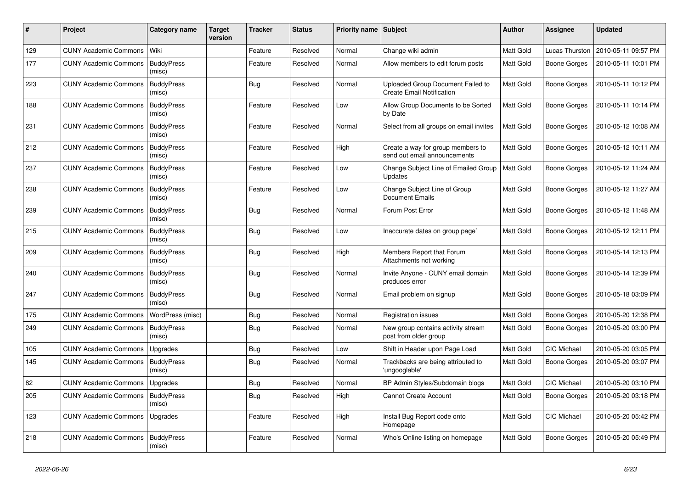| #   | Project                            | Category name               | <b>Target</b><br>version | Tracker    | <b>Status</b> | Priority name Subject |                                                                       | <b>Author</b>    | <b>Assignee</b>     | <b>Updated</b>      |
|-----|------------------------------------|-----------------------------|--------------------------|------------|---------------|-----------------------|-----------------------------------------------------------------------|------------------|---------------------|---------------------|
| 129 | <b>CUNY Academic Commons</b>       | Wiki                        |                          | Feature    | Resolved      | Normal                | Change wiki admin                                                     | Matt Gold        | Lucas Thurston      | 2010-05-11 09:57 PM |
| 177 | <b>CUNY Academic Commons</b>       | <b>BuddyPress</b><br>(misc) |                          | Feature    | Resolved      | Normal                | Allow members to edit forum posts                                     | Matt Gold        | <b>Boone Gorges</b> | 2010-05-11 10:01 PM |
| 223 | <b>CUNY Academic Commons</b>       | <b>BuddyPress</b><br>(misc) |                          | <b>Bug</b> | Resolved      | Normal                | Uploaded Group Document Failed to<br><b>Create Email Notification</b> | Matt Gold        | <b>Boone Gorges</b> | 2010-05-11 10:12 PM |
| 188 | <b>CUNY Academic Commons</b>       | <b>BuddyPress</b><br>(misc) |                          | Feature    | Resolved      | Low                   | Allow Group Documents to be Sorted<br>by Date                         | <b>Matt Gold</b> | <b>Boone Gorges</b> | 2010-05-11 10:14 PM |
| 231 | <b>CUNY Academic Commons</b>       | <b>BuddyPress</b><br>(misc) |                          | Feature    | Resolved      | Normal                | Select from all groups on email invites                               | Matt Gold        | Boone Gorges        | 2010-05-12 10:08 AM |
| 212 | <b>CUNY Academic Commons</b>       | <b>BuddyPress</b><br>(misc) |                          | Feature    | Resolved      | High                  | Create a way for group members to<br>send out email announcements     | Matt Gold        | Boone Gorges        | 2010-05-12 10:11 AM |
| 237 | <b>CUNY Academic Commons</b>       | <b>BuddyPress</b><br>(misc) |                          | Feature    | Resolved      | Low                   | Change Subject Line of Emailed Group<br>Updates                       | Matt Gold        | <b>Boone Gorges</b> | 2010-05-12 11:24 AM |
| 238 | <b>CUNY Academic Commons</b>       | <b>BuddyPress</b><br>(misc) |                          | Feature    | Resolved      | Low                   | Change Subject Line of Group<br><b>Document Emails</b>                | Matt Gold        | <b>Boone Gorges</b> | 2010-05-12 11:27 AM |
| 239 | <b>CUNY Academic Commons</b>       | <b>BuddyPress</b><br>(misc) |                          | <b>Bug</b> | Resolved      | Normal                | Forum Post Error                                                      | Matt Gold        | <b>Boone Gorges</b> | 2010-05-12 11:48 AM |
| 215 | <b>CUNY Academic Commons</b>       | <b>BuddyPress</b><br>(misc) |                          | <b>Bug</b> | Resolved      | Low                   | Inaccurate dates on group page`                                       | Matt Gold        | <b>Boone Gorges</b> | 2010-05-12 12:11 PM |
| 209 | <b>CUNY Academic Commons</b>       | <b>BuddyPress</b><br>(misc) |                          | <b>Bug</b> | Resolved      | High                  | Members Report that Forum<br>Attachments not working                  | <b>Matt Gold</b> | <b>Boone Gorges</b> | 2010-05-14 12:13 PM |
| 240 | <b>CUNY Academic Commons</b>       | <b>BuddyPress</b><br>(misc) |                          | <b>Bug</b> | Resolved      | Normal                | Invite Anyone - CUNY email domain<br>produces error                   | Matt Gold        | <b>Boone Gorges</b> | 2010-05-14 12:39 PM |
| 247 | <b>CUNY Academic Commons</b>       | <b>BuddyPress</b><br>(misc) |                          | <b>Bug</b> | Resolved      | Normal                | Email problem on signup                                               | Matt Gold        | <b>Boone Gorges</b> | 2010-05-18 03:09 PM |
| 175 | <b>CUNY Academic Commons</b>       | WordPress (misc)            |                          | <b>Bug</b> | Resolved      | Normal                | Registration issues                                                   | Matt Gold        | <b>Boone Gorges</b> | 2010-05-20 12:38 PM |
| 249 | <b>CUNY Academic Commons</b>       | <b>BuddyPress</b><br>(misc) |                          | <b>Bug</b> | Resolved      | Normal                | New group contains activity stream<br>post from older group           | Matt Gold        | <b>Boone Gorges</b> | 2010-05-20 03:00 PM |
| 105 | <b>CUNY Academic Commons</b>       | Upgrades                    |                          | <b>Bug</b> | Resolved      | Low                   | Shift in Header upon Page Load                                        | Matt Gold        | CIC Michael         | 2010-05-20 03:05 PM |
| 145 | <b>CUNY Academic Commons</b>       | <b>BuddyPress</b><br>(misc) |                          | <b>Bug</b> | Resolved      | Normal                | Trackbacks are being attributed to<br>'ungooglable'                   | Matt Gold        | Boone Gorges        | 2010-05-20 03:07 PM |
| 82  | <b>CUNY Academic Commons</b>       | Upgrades                    |                          | <b>Bug</b> | Resolved      | Normal                | BP Admin Styles/Subdomain blogs                                       | Matt Gold        | CIC Michael         | 2010-05-20 03:10 PM |
| 205 | CUNY Academic Commons   BuddyPress | (misc)                      |                          | <b>Bug</b> | Resolved      | High                  | <b>Cannot Create Account</b>                                          | Matt Gold        | <b>Boone Gorges</b> | 2010-05-20 03:18 PM |
| 123 | <b>CUNY Academic Commons</b>       | Upgrades                    |                          | Feature    | Resolved      | High                  | Install Bug Report code onto<br>Homepage                              | Matt Gold        | CIC Michael         | 2010-05-20 05:42 PM |
| 218 | <b>CUNY Academic Commons</b>       | BuddyPress<br>(misc)        |                          | Feature    | Resolved      | Normal                | Who's Online listing on homepage                                      | Matt Gold        | Boone Gorges        | 2010-05-20 05:49 PM |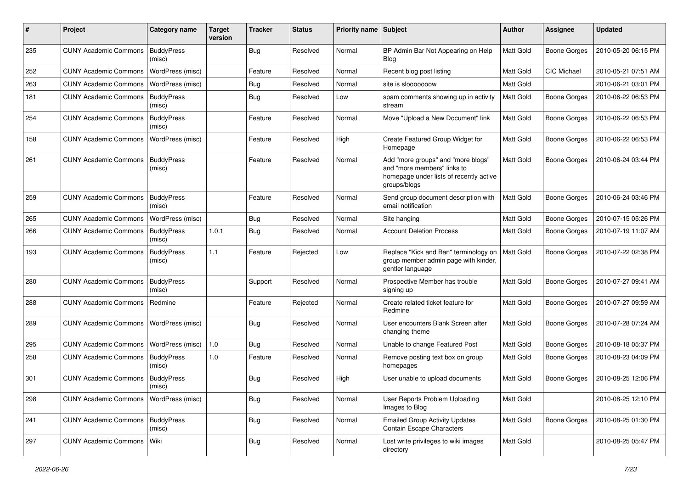| #   | Project                                  | Category name               | <b>Target</b><br>version | <b>Tracker</b> | <b>Status</b> | <b>Priority name</b> | Subject                                                                                                                      | <b>Author</b>    | <b>Assignee</b>     | <b>Updated</b>      |
|-----|------------------------------------------|-----------------------------|--------------------------|----------------|---------------|----------------------|------------------------------------------------------------------------------------------------------------------------------|------------------|---------------------|---------------------|
| 235 | <b>CUNY Academic Commons</b>             | <b>BuddyPress</b><br>(misc) |                          | Bug            | Resolved      | Normal               | BP Admin Bar Not Appearing on Help<br>Blog                                                                                   | Matt Gold        | <b>Boone Gorges</b> | 2010-05-20 06:15 PM |
| 252 | <b>CUNY Academic Commons</b>             | WordPress (misc)            |                          | Feature        | Resolved      | Normal               | Recent blog post listing                                                                                                     | Matt Gold        | <b>CIC Michael</b>  | 2010-05-21 07:51 AM |
| 263 | <b>CUNY Academic Commons</b>             | WordPress (misc)            |                          | <b>Bug</b>     | Resolved      | Normal               | site is slooooooow                                                                                                           | Matt Gold        |                     | 2010-06-21 03:01 PM |
| 181 | <b>CUNY Academic Commons</b>             | <b>BuddyPress</b><br>(misc) |                          | Bug            | Resolved      | Low                  | spam comments showing up in activity<br>stream                                                                               | Matt Gold        | <b>Boone Gorges</b> | 2010-06-22 06:53 PM |
| 254 | <b>CUNY Academic Commons</b>             | <b>BuddyPress</b><br>(misc) |                          | Feature        | Resolved      | Normal               | Move "Upload a New Document" link                                                                                            | Matt Gold        | Boone Gorges        | 2010-06-22 06:53 PM |
| 158 | <b>CUNY Academic Commons</b>             | WordPress (misc)            |                          | Feature        | Resolved      | High                 | Create Featured Group Widget for<br>Homepage                                                                                 | <b>Matt Gold</b> | <b>Boone Gorges</b> | 2010-06-22 06:53 PM |
| 261 | <b>CUNY Academic Commons</b>             | <b>BuddyPress</b><br>(misc) |                          | Feature        | Resolved      | Normal               | Add "more groups" and "more blogs"<br>and "more members" links to<br>homepage under lists of recently active<br>groups/blogs | Matt Gold        | <b>Boone Gorges</b> | 2010-06-24 03:44 PM |
| 259 | <b>CUNY Academic Commons</b>             | <b>BuddyPress</b><br>(misc) |                          | Feature        | Resolved      | Normal               | Send group document description with<br>email notification                                                                   | Matt Gold        | <b>Boone Gorges</b> | 2010-06-24 03:46 PM |
| 265 | <b>CUNY Academic Commons</b>             | WordPress (misc)            |                          | <b>Bug</b>     | Resolved      | Normal               | Site hanging                                                                                                                 | Matt Gold        | <b>Boone Gorges</b> | 2010-07-15 05:26 PM |
| 266 | <b>CUNY Academic Commons</b>             | <b>BuddyPress</b><br>(misc) | 1.0.1                    | Bug            | Resolved      | Normal               | <b>Account Deletion Process</b>                                                                                              | Matt Gold        | <b>Boone Gorges</b> | 2010-07-19 11:07 AM |
| 193 | <b>CUNY Academic Commons</b>             | <b>BuddyPress</b><br>(misc) | 1.1                      | Feature        | Rejected      | Low                  | Replace "Kick and Ban" terminology on<br>group member admin page with kinder,<br>gentler language                            | Matt Gold        | <b>Boone Gorges</b> | 2010-07-22 02:38 PM |
| 280 | <b>CUNY Academic Commons</b>             | <b>BuddyPress</b><br>(misc) |                          | Support        | Resolved      | Normal               | Prospective Member has trouble<br>signing up                                                                                 | Matt Gold        | <b>Boone Gorges</b> | 2010-07-27 09:41 AM |
| 288 | <b>CUNY Academic Commons</b>             | Redmine                     |                          | Feature        | Rejected      | Normal               | Create related ticket feature for<br>Redmine                                                                                 | Matt Gold        | <b>Boone Gorges</b> | 2010-07-27 09:59 AM |
| 289 | <b>CUNY Academic Commons</b>             | WordPress (misc)            |                          | Bug            | Resolved      | Normal               | User encounters Blank Screen after<br>changing theme                                                                         | <b>Matt Gold</b> | Boone Gorges        | 2010-07-28 07:24 AM |
| 295 | <b>CUNY Academic Commons</b>             | WordPress (misc)            | 1.0                      | <b>Bug</b>     | Resolved      | Normal               | Unable to change Featured Post                                                                                               | Matt Gold        | <b>Boone Gorges</b> | 2010-08-18 05:37 PM |
| 258 | <b>CUNY Academic Commons</b>             | <b>BuddyPress</b><br>(misc) | 1.0                      | Feature        | Resolved      | Normal               | Remove posting text box on group<br>homepages                                                                                | Matt Gold        | <b>Boone Gorges</b> | 2010-08-23 04:09 PM |
| 301 | <b>CUNY Academic Commons</b>             | <b>BuddyPress</b><br>(misc) |                          | Bug            | Resolved      | High                 | User unable to upload documents                                                                                              | <b>Matt Gold</b> | <b>Boone Gorges</b> | 2010-08-25 12:06 PM |
| 298 | CUNY Academic Commons   WordPress (misc) |                             |                          | <b>Bug</b>     | Resolved      | Normal               | User Reports Problem Uploading<br>Images to Blog                                                                             | Matt Gold        |                     | 2010-08-25 12:10 PM |
| 241 | <b>CUNY Academic Commons</b>             | <b>BuddyPress</b><br>(misc) |                          | Bug            | Resolved      | Normal               | <b>Emailed Group Activity Updates</b><br>Contain Escape Characters                                                           | Matt Gold        | <b>Boone Gorges</b> | 2010-08-25 01:30 PM |
| 297 | <b>CUNY Academic Commons</b>             | Wiki                        |                          | Bug            | Resolved      | Normal               | Lost write privileges to wiki images<br>directory                                                                            | Matt Gold        |                     | 2010-08-25 05:47 PM |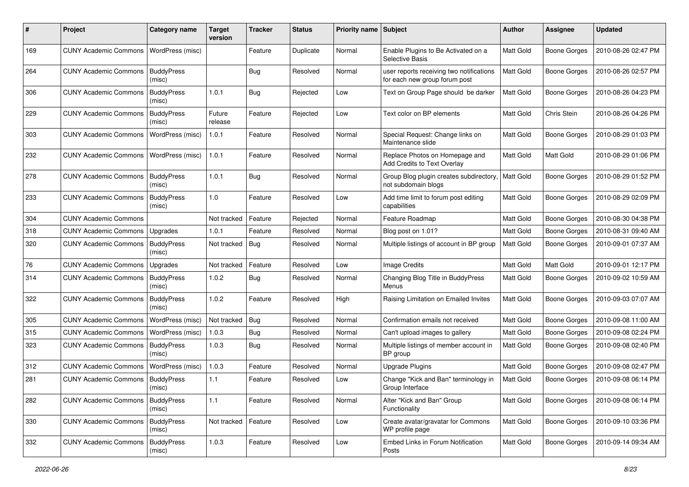| ∦   | Project                            | Category name               | Target<br>version | <b>Tracker</b> | <b>Status</b> | <b>Priority name</b> | Subject                                                                   | <b>Author</b>    | Assignee            | <b>Updated</b>      |
|-----|------------------------------------|-----------------------------|-------------------|----------------|---------------|----------------------|---------------------------------------------------------------------------|------------------|---------------------|---------------------|
| 169 | <b>CUNY Academic Commons</b>       | WordPress (misc)            |                   | Feature        | Duplicate     | Normal               | Enable Plugins to Be Activated on a<br>Selective Basis                    | Matt Gold        | <b>Boone Gorges</b> | 2010-08-26 02:47 PM |
| 264 | <b>CUNY Academic Commons</b>       | <b>BuddyPress</b><br>(misc) |                   | <b>Bug</b>     | Resolved      | Normal               | user reports receiving two notifications<br>for each new group forum post | Matt Gold        | <b>Boone Gorges</b> | 2010-08-26 02:57 PM |
| 306 | <b>CUNY Academic Commons</b>       | <b>BuddyPress</b><br>(misc) | 1.0.1             | Bug            | Rejected      | Low                  | Text on Group Page should be darker                                       | Matt Gold        | <b>Boone Gorges</b> | 2010-08-26 04:23 PM |
| 229 | <b>CUNY Academic Commons</b>       | <b>BuddyPress</b><br>(misc) | Future<br>release | Feature        | Rejected      | Low                  | Text color on BP elements                                                 | <b>Matt Gold</b> | Chris Stein         | 2010-08-26 04:26 PM |
| 303 | <b>CUNY Academic Commons</b>       | WordPress (misc)            | 1.0.1             | Feature        | Resolved      | Normal               | Special Request: Change links on<br>Maintenance slide                     | <b>Matt Gold</b> | <b>Boone Gorges</b> | 2010-08-29 01:03 PM |
| 232 | <b>CUNY Academic Commons</b>       | WordPress (misc)            | 1.0.1             | Feature        | Resolved      | Normal               | Replace Photos on Homepage and<br>Add Credits to Text Overlay             | Matt Gold        | Matt Gold           | 2010-08-29 01:06 PM |
| 278 | <b>CUNY Academic Commons</b>       | <b>BuddyPress</b><br>(misc) | 1.0.1             | Bug            | Resolved      | Normal               | Group Blog plugin creates subdirectory,<br>not subdomain blogs            | Matt Gold        | <b>Boone Gorges</b> | 2010-08-29 01:52 PM |
| 233 | <b>CUNY Academic Commons</b>       | <b>BuddyPress</b><br>(misc) | 1.0               | Feature        | Resolved      | Low                  | Add time limit to forum post editing<br>capabilities                      | Matt Gold        | <b>Boone Gorges</b> | 2010-08-29 02:09 PM |
| 304 | <b>CUNY Academic Commons</b>       |                             | Not tracked       | Feature        | Rejected      | Normal               | Feature Roadmap                                                           | Matt Gold        | <b>Boone Gorges</b> | 2010-08-30 04:38 PM |
| 318 | <b>CUNY Academic Commons</b>       | Upgrades                    | 1.0.1             | Feature        | Resolved      | Normal               | Blog post on 1.01?                                                        | Matt Gold        | <b>Boone Gorges</b> | 2010-08-31 09:40 AM |
| 320 | <b>CUNY Academic Commons</b>       | <b>BuddyPress</b><br>(misc) | Not tracked       | Bug            | Resolved      | Normal               | Multiple listings of account in BP group                                  | Matt Gold        | <b>Boone Gorges</b> | 2010-09-01 07:37 AM |
| 76  | <b>CUNY Academic Commons</b>       | Upgrades                    | Not tracked       | Feature        | Resolved      | Low                  | Image Credits                                                             | Matt Gold        | <b>Matt Gold</b>    | 2010-09-01 12:17 PM |
| 314 | <b>CUNY Academic Commons</b>       | <b>BuddyPress</b><br>(misc) | 1.0.2             | Bug            | Resolved      | Normal               | Changing Blog Title in BuddyPress<br>Menus                                | Matt Gold        | Boone Gorges        | 2010-09-02 10:59 AM |
| 322 | <b>CUNY Academic Commons</b>       | <b>BuddyPress</b><br>(misc) | 1.0.2             | Feature        | Resolved      | High                 | Raising Limitation on Emailed Invites                                     | Matt Gold        | <b>Boone Gorges</b> | 2010-09-03 07:07 AM |
| 305 | <b>CUNY Academic Commons</b>       | WordPress (misc)            | Not tracked       | Bug            | Resolved      | Normal               | Confirmation emails not received                                          | Matt Gold        | <b>Boone Gorges</b> | 2010-09-08 11:00 AM |
| 315 | <b>CUNY Academic Commons</b>       | WordPress (misc)            | 1.0.3             | Bug            | Resolved      | Normal               | Can't upload images to gallery                                            | Matt Gold        | <b>Boone Gorges</b> | 2010-09-08 02:24 PM |
| 323 | <b>CUNY Academic Commons</b>       | <b>BuddyPress</b><br>(misc) | 1.0.3             | <b>Bug</b>     | Resolved      | Normal               | Multiple listings of member account in<br>BP group                        | Matt Gold        | <b>Boone Gorges</b> | 2010-09-08 02:40 PM |
| 312 | <b>CUNY Academic Commons</b>       | WordPress (misc)            | 1.0.3             | Feature        | Resolved      | Normal               | <b>Upgrade Plugins</b>                                                    | Matt Gold        | <b>Boone Gorges</b> | 2010-09-08 02:47 PM |
| 281 | <b>CUNY Academic Commons</b>       | <b>BuddyPress</b><br>(misc) | 1.1               | Feature        | Resolved      | Low                  | Change "Kick and Ban" terminology in<br>Group Interface                   | Matt Gold        | <b>Boone Gorges</b> | 2010-09-08 06:14 PM |
| 282 | CUNY Academic Commons   BuddyPress | (misc)                      | 1.1               | Feature        | Resolved      | Normal               | Alter "Kick and Ban" Group<br>Functionality                               | Matt Gold        | <b>Boone Gorges</b> | 2010-09-08 06:14 PM |
| 330 | <b>CUNY Academic Commons</b>       | <b>BuddyPress</b><br>(misc) | Not tracked       | Feature        | Resolved      | Low                  | Create avatar/gravatar for Commons<br>WP profile page                     | Matt Gold        | <b>Boone Gorges</b> | 2010-09-10 03:36 PM |
| 332 | <b>CUNY Academic Commons</b>       | <b>BuddyPress</b><br>(misc) | 1.0.3             | Feature        | Resolved      | Low                  | Embed Links in Forum Notification<br>Posts                                | Matt Gold        | <b>Boone Gorges</b> | 2010-09-14 09:34 AM |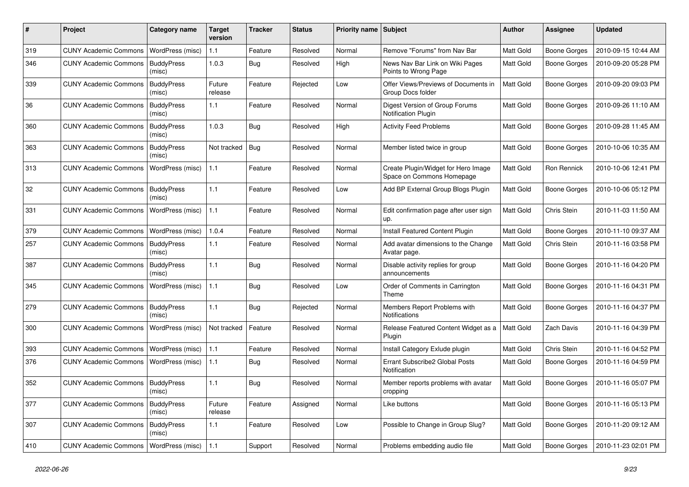| #   | Project                                   | Category name               | Target<br>version | <b>Tracker</b> | <b>Status</b> | <b>Priority name Subject</b> |                                                                  | <b>Author</b> | <b>Assignee</b>     | <b>Updated</b>      |
|-----|-------------------------------------------|-----------------------------|-------------------|----------------|---------------|------------------------------|------------------------------------------------------------------|---------------|---------------------|---------------------|
| 319 | <b>CUNY Academic Commons</b>              | WordPress (misc)            | $1.1$             | Feature        | Resolved      | Normal                       | Remove "Forums" from Nav Bar                                     | Matt Gold     | <b>Boone Gorges</b> | 2010-09-15 10:44 AM |
| 346 | <b>CUNY Academic Commons</b>              | <b>BuddyPress</b><br>(misc) | 1.0.3             | Bug            | Resolved      | High                         | News Nav Bar Link on Wiki Pages<br>Points to Wrong Page          | Matt Gold     | <b>Boone Gorges</b> | 2010-09-20 05:28 PM |
| 339 | <b>CUNY Academic Commons</b>              | <b>BuddyPress</b><br>(misc) | Future<br>release | Feature        | Rejected      | Low                          | Offer Views/Previews of Documents in<br>Group Docs folder        | Matt Gold     | <b>Boone Gorges</b> | 2010-09-20 09:03 PM |
| 36  | <b>CUNY Academic Commons</b>              | <b>BuddyPress</b><br>(misc) | 1.1               | Feature        | Resolved      | Normal                       | Digest Version of Group Forums<br><b>Notification Plugin</b>     | Matt Gold     | <b>Boone Gorges</b> | 2010-09-26 11:10 AM |
| 360 | <b>CUNY Academic Commons</b>              | <b>BuddyPress</b><br>(misc) | 1.0.3             | Bug            | Resolved      | High                         | <b>Activity Feed Problems</b>                                    | Matt Gold     | <b>Boone Gorges</b> | 2010-09-28 11:45 AM |
| 363 | <b>CUNY Academic Commons</b>              | <b>BuddyPress</b><br>(misc) | Not tracked       | Bug            | Resolved      | Normal                       | Member listed twice in group                                     | Matt Gold     | <b>Boone Gorges</b> | 2010-10-06 10:35 AM |
| 313 | <b>CUNY Academic Commons</b>              | WordPress (misc)            | 1.1               | Feature        | Resolved      | Normal                       | Create Plugin/Widget for Hero Image<br>Space on Commons Homepage | Matt Gold     | Ron Rennick         | 2010-10-06 12:41 PM |
| 32  | <b>CUNY Academic Commons</b>              | <b>BuddyPress</b><br>(misc) | 1.1               | Feature        | Resolved      | Low                          | Add BP External Group Blogs Plugin                               | Matt Gold     | <b>Boone Gorges</b> | 2010-10-06 05:12 PM |
| 331 | <b>CUNY Academic Commons</b>              | WordPress (misc)            | 1.1               | Feature        | Resolved      | Normal                       | Edit confirmation page after user sign<br>up.                    | Matt Gold     | Chris Stein         | 2010-11-03 11:50 AM |
| 379 | <b>CUNY Academic Commons</b>              | WordPress (misc)            | 1.0.4             | Feature        | Resolved      | Normal                       | Install Featured Content Plugin                                  | Matt Gold     | <b>Boone Gorges</b> | 2010-11-10 09:37 AM |
| 257 | <b>CUNY Academic Commons</b>              | <b>BuddyPress</b><br>(misc) | $1.1$             | Feature        | Resolved      | Normal                       | Add avatar dimensions to the Change<br>Avatar page.              | Matt Gold     | Chris Stein         | 2010-11-16 03:58 PM |
| 387 | <b>CUNY Academic Commons</b>              | <b>BuddyPress</b><br>(misc) | 1.1               | Bug            | Resolved      | Normal                       | Disable activity replies for group<br>announcements              | Matt Gold     | <b>Boone Gorges</b> | 2010-11-16 04:20 PM |
| 345 | <b>CUNY Academic Commons</b>              | WordPress (misc)            | $1.1$             | Bug            | Resolved      | Low                          | Order of Comments in Carrington<br>Theme                         | Matt Gold     | <b>Boone Gorges</b> | 2010-11-16 04:31 PM |
| 279 | <b>CUNY Academic Commons</b>              | <b>BuddyPress</b><br>(misc) | 1.1               | Bug            | Rejected      | Normal                       | Members Report Problems with<br><b>Notifications</b>             | Matt Gold     | <b>Boone Gorges</b> | 2010-11-16 04:37 PM |
| 300 | <b>CUNY Academic Commons</b>              | WordPress (misc)            | Not tracked       | Feature        | Resolved      | Normal                       | Release Featured Content Widget as a<br>Plugin                   | Matt Gold     | Zach Davis          | 2010-11-16 04:39 PM |
| 393 | <b>CUNY Academic Commons</b>              | WordPress (misc)            | 1.1               | Feature        | Resolved      | Normal                       | Install Category Exlude plugin                                   | Matt Gold     | Chris Stein         | 2010-11-16 04:52 PM |
| 376 | <b>CUNY Academic Commons</b>              | WordPress (misc)            | 1.1               | <b>Bug</b>     | Resolved      | Normal                       | Errant Subscribe2 Global Posts<br>Notification                   | Matt Gold     | <b>Boone Gorges</b> | 2010-11-16 04:59 PM |
| 352 | <b>CUNY Academic Commons   BuddyPress</b> | (misc)                      | 1.1               | Bug            | Resolved      | Normal                       | Member reports problems with avatar<br>cropping                  | Matt Gold     | <b>Boone Gorges</b> | 2010-11-16 05:07 PM |
| 377 | <b>CUNY Academic Commons</b>              | <b>BuddyPress</b><br>(misc) | Future<br>release | Feature        | Assigned      | Normal                       | Like buttons                                                     | Matt Gold     | <b>Boone Gorges</b> | 2010-11-16 05:13 PM |
| 307 | CUNY Academic Commons   BuddyPress        | (misc)                      | $1.1$             | Feature        | Resolved      | Low                          | Possible to Change in Group Slug?                                | Matt Gold     | Boone Gorges        | 2010-11-20 09:12 AM |
| 410 | <b>CUNY Academic Commons</b>              | WordPress (misc)            | 1.1               | Support        | Resolved      | Normal                       | Problems embedding audio file                                    | Matt Gold     | <b>Boone Gorges</b> | 2010-11-23 02:01 PM |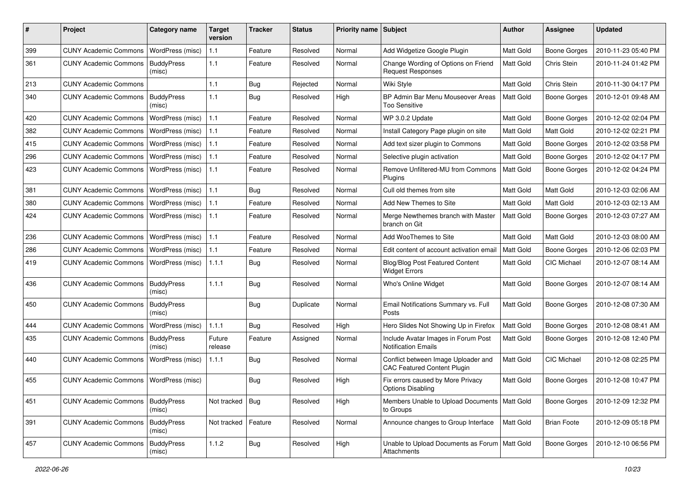| #   | Project                                  | Category name               | <b>Target</b><br>version | <b>Tracker</b> | <b>Status</b> | <b>Priority name</b> | Subject                                                                   | <b>Author</b> | Assignee            | <b>Updated</b>      |
|-----|------------------------------------------|-----------------------------|--------------------------|----------------|---------------|----------------------|---------------------------------------------------------------------------|---------------|---------------------|---------------------|
| 399 | <b>CUNY Academic Commons</b>             | WordPress (misc)            | 1.1                      | Feature        | Resolved      | Normal               | Add Widgetize Google Plugin                                               | Matt Gold     | <b>Boone Gorges</b> | 2010-11-23 05:40 PM |
| 361 | <b>CUNY Academic Commons</b>             | <b>BuddyPress</b><br>(misc) | 1.1                      | Feature        | Resolved      | Normal               | Change Wording of Options on Friend<br><b>Request Responses</b>           | Matt Gold     | Chris Stein         | 2010-11-24 01:42 PM |
| 213 | <b>CUNY Academic Commons</b>             |                             | $1.1$                    | Bug            | Rejected      | Normal               | Wiki Style                                                                | Matt Gold     | Chris Stein         | 2010-11-30 04:17 PM |
| 340 | <b>CUNY Academic Commons</b>             | <b>BuddyPress</b><br>(misc) | 1.1                      | Bug            | Resolved      | High                 | BP Admin Bar Menu Mouseover Areas<br>Too Sensitive                        | Matt Gold     | <b>Boone Gorges</b> | 2010-12-01 09:48 AM |
| 420 | <b>CUNY Academic Commons</b>             | WordPress (misc)            | 1.1                      | Feature        | Resolved      | Normal               | WP 3.0.2 Update                                                           | Matt Gold     | <b>Boone Gorges</b> | 2010-12-02 02:04 PM |
| 382 | <b>CUNY Academic Commons</b>             | WordPress (misc)            | 1.1                      | Feature        | Resolved      | Normal               | Install Category Page plugin on site                                      | Matt Gold     | Matt Gold           | 2010-12-02 02:21 PM |
| 415 | <b>CUNY Academic Commons</b>             | WordPress (misc)            | 1.1                      | Feature        | Resolved      | Normal               | Add text sizer plugin to Commons                                          | Matt Gold     | <b>Boone Gorges</b> | 2010-12-02 03:58 PM |
| 296 | <b>CUNY Academic Commons</b>             | WordPress (misc)            | 1.1                      | Feature        | Resolved      | Normal               | Selective plugin activation                                               | Matt Gold     | <b>Boone Gorges</b> | 2010-12-02 04:17 PM |
| 423 | <b>CUNY Academic Commons</b>             | WordPress (misc)            | $1.1$                    | Feature        | Resolved      | Normal               | Remove Unfiltered-MU from Commons<br>Plugins                              | Matt Gold     | <b>Boone Gorges</b> | 2010-12-02 04:24 PM |
| 381 | <b>CUNY Academic Commons</b>             | WordPress (misc)            | 1.1                      | <b>Bug</b>     | Resolved      | Normal               | Cull old themes from site                                                 | Matt Gold     | Matt Gold           | 2010-12-03 02:06 AM |
| 380 | <b>CUNY Academic Commons</b>             | WordPress (misc)            | $1.1$                    | Feature        | Resolved      | Normal               | Add New Themes to Site                                                    | Matt Gold     | Matt Gold           | 2010-12-03 02:13 AM |
| 424 | <b>CUNY Academic Commons</b>             | WordPress (misc)            | 1.1                      | Feature        | Resolved      | Normal               | Merge Newthemes branch with Master<br>branch on Git                       | Matt Gold     | <b>Boone Gorges</b> | 2010-12-03 07:27 AM |
| 236 | <b>CUNY Academic Commons</b>             | WordPress (misc)            | 1.1                      | Feature        | Resolved      | Normal               | Add WooThemes to Site                                                     | Matt Gold     | Matt Gold           | 2010-12-03 08:00 AM |
| 286 | <b>CUNY Academic Commons</b>             | WordPress (misc)            | 1.1                      | Feature        | Resolved      | Normal               | Edit content of account activation email                                  | Matt Gold     | <b>Boone Gorges</b> | 2010-12-06 02:03 PM |
| 419 | <b>CUNY Academic Commons</b>             | WordPress (misc)            | 1.1.1                    | <b>Bug</b>     | Resolved      | Normal               | <b>Blog/Blog Post Featured Content</b><br><b>Widget Errors</b>            | Matt Gold     | CIC Michael         | 2010-12-07 08:14 AM |
| 436 | <b>CUNY Academic Commons</b>             | <b>BuddyPress</b><br>(misc) | 1.1.1                    | Bug            | Resolved      | Normal               | Who's Online Widget                                                       | Matt Gold     | <b>Boone Gorges</b> | 2010-12-07 08:14 AM |
| 450 | <b>CUNY Academic Commons</b>             | <b>BuddyPress</b><br>(misc) |                          | <b>Bug</b>     | Duplicate     | Normal               | Email Notifications Summary vs. Full<br>Posts                             | Matt Gold     | <b>Boone Gorges</b> | 2010-12-08 07:30 AM |
| 444 | <b>CUNY Academic Commons</b>             | WordPress (misc)            | 1.1.1                    | <b>Bug</b>     | Resolved      | High                 | Hero Slides Not Showing Up in Firefox                                     | Matt Gold     | <b>Boone Gorges</b> | 2010-12-08 08:41 AM |
| 435 | <b>CUNY Academic Commons</b>             | <b>BuddyPress</b><br>(misc) | Future<br>release        | Feature        | Assigned      | Normal               | Include Avatar Images in Forum Post<br><b>Notification Emails</b>         | Matt Gold     | <b>Boone Gorges</b> | 2010-12-08 12:40 PM |
| 440 | <b>CUNY Academic Commons</b>             | WordPress (misc)            | 1.1.1                    | <b>Bug</b>     | Resolved      | Normal               | Conflict between Image Uploader and<br><b>CAC Featured Content Plugin</b> | Matt Gold     | CIC Michael         | 2010-12-08 02:25 PM |
| 455 | CUNY Academic Commons   WordPress (misc) |                             |                          | Bug            | Resolved      | High                 | Fix errors caused by More Privacy<br><b>Options Disabling</b>             | Matt Gold     | <b>Boone Gorges</b> | 2010-12-08 10:47 PM |
| 451 | <b>CUNY Academic Commons</b>             | <b>BuddyPress</b><br>(misc) | Not tracked   Bug        |                | Resolved      | High                 | Members Unable to Upload Documents<br>to Groups                           | Matt Gold     | <b>Boone Gorges</b> | 2010-12-09 12:32 PM |
| 391 | <b>CUNY Academic Commons</b>             | <b>BuddyPress</b><br>(misc) | Not tracked   Feature    |                | Resolved      | Normal               | Announce changes to Group Interface                                       | Matt Gold     | <b>Brian Foote</b>  | 2010-12-09 05:18 PM |
| 457 | <b>CUNY Academic Commons</b>             | <b>BuddyPress</b><br>(misc) | 1.1.2                    | <b>Bug</b>     | Resolved      | High                 | Unable to Upload Documents as Forum   Matt Gold<br>Attachments            |               | Boone Gorges        | 2010-12-10 06:56 PM |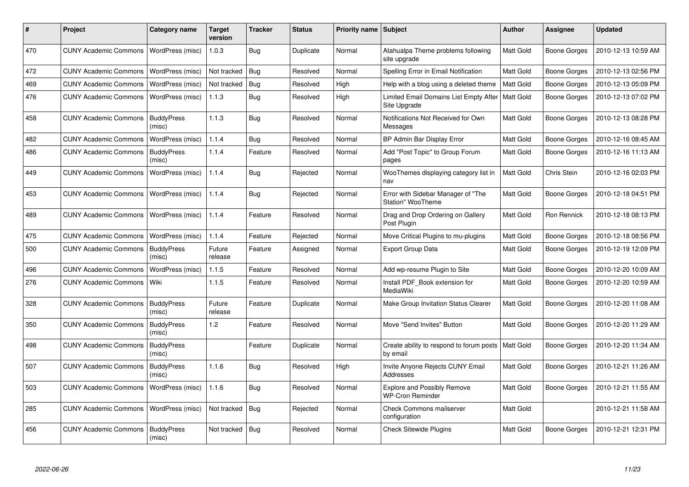| #   | <b>Project</b>               | Category name               | <b>Target</b><br>version | <b>Tracker</b> | <b>Status</b> | <b>Priority name</b> | Subject                                                 | <b>Author</b>    | Assignee            | <b>Updated</b>      |
|-----|------------------------------|-----------------------------|--------------------------|----------------|---------------|----------------------|---------------------------------------------------------|------------------|---------------------|---------------------|
| 470 | <b>CUNY Academic Commons</b> | WordPress (misc)            | 1.0.3                    | Bug            | Duplicate     | Normal               | Atahualpa Theme problems following<br>site upgrade      | Matt Gold        | Boone Gorges        | 2010-12-13 10:59 AM |
| 472 | <b>CUNY Academic Commons</b> | WordPress (misc)            | Not tracked              | Bug            | Resolved      | Normal               | Spelling Error in Email Notification                    | Matt Gold        | <b>Boone Gorges</b> | 2010-12-13 02:56 PM |
| 469 | <b>CUNY Academic Commons</b> | WordPress (misc)            | Not tracked              | Bug            | Resolved      | High                 | Help with a blog using a deleted theme                  | Matt Gold        | Boone Gorges        | 2010-12-13 05:09 PM |
| 476 | <b>CUNY Academic Commons</b> | WordPress (misc)            | 1.1.3                    | <b>Bug</b>     | Resolved      | High                 | Limited Email Domains List Empty After<br>Site Upgrade  | Matt Gold        | <b>Boone Gorges</b> | 2010-12-13 07:02 PM |
| 458 | <b>CUNY Academic Commons</b> | <b>BuddyPress</b><br>(misc) | 1.1.3                    | Bug            | Resolved      | Normal               | Notifications Not Received for Own<br>Messages          | Matt Gold        | <b>Boone Gorges</b> | 2010-12-13 08:28 PM |
| 482 | <b>CUNY Academic Commons</b> | WordPress (misc)            | 1.1.4                    | <b>Bug</b>     | Resolved      | Normal               | BP Admin Bar Display Error                              | Matt Gold        | <b>Boone Gorges</b> | 2010-12-16 08:45 AM |
| 486 | <b>CUNY Academic Commons</b> | <b>BuddyPress</b><br>(misc) | 1.1.4                    | Feature        | Resolved      | Normal               | Add "Post Topic" to Group Forum<br>pages                | Matt Gold        | Boone Gorges        | 2010-12-16 11:13 AM |
| 449 | <b>CUNY Academic Commons</b> | WordPress (misc)            | 1.1.4                    | Bug            | Rejected      | Normal               | WooThemes displaying category list in<br>nav            | Matt Gold        | Chris Stein         | 2010-12-16 02:03 PM |
| 453 | <b>CUNY Academic Commons</b> | WordPress (misc)            | 1.1.4                    | Bug            | Rejected      | Normal               | Error with Sidebar Manager of "The<br>Station" WooTheme | Matt Gold        | <b>Boone Gorges</b> | 2010-12-18 04:51 PM |
| 489 | <b>CUNY Academic Commons</b> | WordPress (misc)            | 1.1.4                    | Feature        | Resolved      | Normal               | Drag and Drop Ordering on Gallery<br>Post Plugin        | Matt Gold        | <b>Ron Rennick</b>  | 2010-12-18 08:13 PM |
| 475 | <b>CUNY Academic Commons</b> | WordPress (misc)            | 1.1.4                    | Feature        | Rejected      | Normal               | Move Critical Plugins to mu-plugins                     | Matt Gold        | Boone Gorges        | 2010-12-18 08:56 PM |
| 500 | <b>CUNY Academic Commons</b> | <b>BuddyPress</b><br>(misc) | Future<br>release        | Feature        | Assigned      | Normal               | <b>Export Group Data</b>                                | Matt Gold        | Boone Gorges        | 2010-12-19 12:09 PM |
| 496 | <b>CUNY Academic Commons</b> | WordPress (misc)            | 1.1.5                    | Feature        | Resolved      | Normal               | Add wp-resume Plugin to Site                            | Matt Gold        | <b>Boone Gorges</b> | 2010-12-20 10:09 AM |
| 276 | <b>CUNY Academic Commons</b> | Wiki                        | 1.1.5                    | Feature        | Resolved      | Normal               | Install PDF Book extension for<br><b>MediaWiki</b>      | Matt Gold        | Boone Gorges        | 2010-12-20 10:59 AM |
| 328 | <b>CUNY Academic Commons</b> | <b>BuddyPress</b><br>(misc) | Future<br>release        | Feature        | Duplicate     | Normal               | Make Group Invitation Status Clearer                    | Matt Gold        | <b>Boone Gorges</b> | 2010-12-20 11:08 AM |
| 350 | <b>CUNY Academic Commons</b> | <b>BuddyPress</b><br>(misc) | 1.2                      | Feature        | Resolved      | Normal               | Move "Send Invites" Button                              | Matt Gold        | Boone Gorges        | 2010-12-20 11:29 AM |
| 498 | <b>CUNY Academic Commons</b> | <b>BuddyPress</b><br>(misc) |                          | Feature        | Duplicate     | Normal               | Create ability to respond to forum posts<br>by email    | <b>Matt Gold</b> | <b>Boone Gorges</b> | 2010-12-20 11:34 AM |
| 507 | <b>CUNY Academic Commons</b> | <b>BuddyPress</b><br>(misc) | 1.1.6                    | Bug            | Resolved      | High                 | Invite Anyone Rejects CUNY Email<br>Addresses           | Matt Gold        | Boone Gorges        | 2010-12-21 11:26 AM |
| 503 | <b>CUNY Academic Commons</b> | WordPress (misc)            | 1.1.6                    | Bug            | Resolved      | Normal               | Explore and Possibly Remove<br><b>WP-Cron Reminder</b>  | Matt Gold        | <b>Boone Gorges</b> | 2010-12-21 11:55 AM |
| 285 | <b>CUNY Academic Commons</b> | WordPress (misc)            | Not tracked              | Bug            | Rejected      | Normal               | <b>Check Commons mailserver</b><br>configuration        | Matt Gold        |                     | 2010-12-21 11:58 AM |
| 456 | <b>CUNY Academic Commons</b> | <b>BuddyPress</b><br>(misc) | Not tracked              | Bug            | Resolved      | Normal               | <b>Check Sitewide Plugins</b>                           | Matt Gold        | <b>Boone Gorges</b> | 2010-12-21 12:31 PM |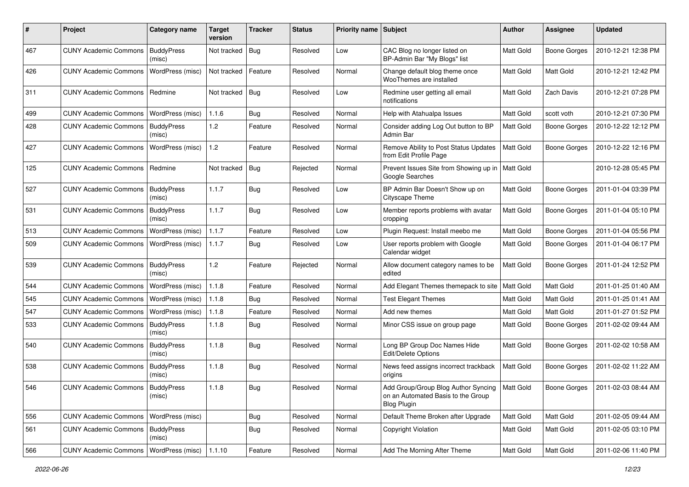| #   | Project                      | <b>Category name</b>        | <b>Target</b><br>version | <b>Tracker</b> | <b>Status</b> | Priority name Subject |                                                                                                      | Author           | <b>Assignee</b>     | <b>Updated</b>      |
|-----|------------------------------|-----------------------------|--------------------------|----------------|---------------|-----------------------|------------------------------------------------------------------------------------------------------|------------------|---------------------|---------------------|
| 467 | <b>CUNY Academic Commons</b> | <b>BuddyPress</b><br>(misc) | Not tracked              | Bug            | Resolved      | Low                   | CAC Blog no longer listed on<br>BP-Admin Bar "My Blogs" list                                         | Matt Gold        | <b>Boone Gorges</b> | 2010-12-21 12:38 PM |
| 426 | <b>CUNY Academic Commons</b> | WordPress (misc)            | Not tracked              | Feature        | Resolved      | Normal                | Change default blog theme once<br>WooThemes are installed                                            | Matt Gold        | Matt Gold           | 2010-12-21 12:42 PM |
| 311 | <b>CUNY Academic Commons</b> | Redmine                     | Not tracked Bug          |                | Resolved      | Low                   | Redmine user getting all email<br>notifications                                                      | Matt Gold        | Zach Davis          | 2010-12-21 07:28 PM |
| 499 | <b>CUNY Academic Commons</b> | WordPress (misc)            | 1.1.6                    | Bug            | Resolved      | Normal                | Help with Atahualpa Issues                                                                           | Matt Gold        | scott voth          | 2010-12-21 07:30 PM |
| 428 | <b>CUNY Academic Commons</b> | <b>BuddyPress</b><br>(misc) | $1.2$                    | Feature        | Resolved      | Normal                | Consider adding Log Out button to BP<br>Admin Bar                                                    | Matt Gold        | <b>Boone Gorges</b> | 2010-12-22 12:12 PM |
| 427 | <b>CUNY Academic Commons</b> | WordPress (misc)            | 1.2                      | Feature        | Resolved      | Normal                | Remove Ability to Post Status Updates<br>from Edit Profile Page                                      | Matt Gold        | <b>Boone Gorges</b> | 2010-12-22 12:16 PM |
| 125 | <b>CUNY Academic Commons</b> | Redmine                     | Not tracked              | <b>Bug</b>     | Rejected      | Normal                | Prevent Issues Site from Showing up in   Matt Gold<br>Google Searches                                |                  |                     | 2010-12-28 05:45 PM |
| 527 | <b>CUNY Academic Commons</b> | <b>BuddyPress</b><br>(misc) | 1.1.7                    | Bug            | Resolved      | Low                   | BP Admin Bar Doesn't Show up on<br>Cityscape Theme                                                   | Matt Gold        | <b>Boone Gorges</b> | 2011-01-04 03:39 PM |
| 531 | <b>CUNY Academic Commons</b> | <b>BuddyPress</b><br>(misc) | 1.1.7                    | <b>Bug</b>     | Resolved      | Low                   | Member reports problems with avatar<br>cropping                                                      | Matt Gold        | <b>Boone Gorges</b> | 2011-01-04 05:10 PM |
| 513 | <b>CUNY Academic Commons</b> | WordPress (misc)            | 1.1.7                    | Feature        | Resolved      | Low                   | Plugin Request: Install meebo me                                                                     | Matt Gold        | <b>Boone Gorges</b> | 2011-01-04 05:56 PM |
| 509 | <b>CUNY Academic Commons</b> | WordPress (misc)            | 1.1.7                    | Bug            | Resolved      | Low                   | User reports problem with Google<br>Calendar widget                                                  | Matt Gold        | <b>Boone Gorges</b> | 2011-01-04 06:17 PM |
| 539 | <b>CUNY Academic Commons</b> | <b>BuddyPress</b><br>(misc) | 1.2                      | Feature        | Rejected      | Normal                | Allow document category names to be<br>edited                                                        | Matt Gold        | Boone Gorges        | 2011-01-24 12:52 PM |
| 544 | <b>CUNY Academic Commons</b> | WordPress (misc)            | 1.1.8                    | Feature        | Resolved      | Normal                | Add Elegant Themes themepack to site                                                                 | Matt Gold        | Matt Gold           | 2011-01-25 01:40 AM |
| 545 | <b>CUNY Academic Commons</b> | WordPress (misc)            | 1.1.8                    | <b>Bug</b>     | Resolved      | Normal                | <b>Test Elegant Themes</b>                                                                           | Matt Gold        | Matt Gold           | 2011-01-25 01:41 AM |
| 547 | <b>CUNY Academic Commons</b> | WordPress (misc)            | 1.1.8                    | Feature        | Resolved      | Normal                | Add new themes                                                                                       | Matt Gold        | Matt Gold           | 2011-01-27 01:52 PM |
| 533 | <b>CUNY Academic Commons</b> | <b>BuddyPress</b><br>(misc) | 1.1.8                    | Bug            | Resolved      | Normal                | Minor CSS issue on group page                                                                        | Matt Gold        | <b>Boone Gorges</b> | 2011-02-02 09:44 AM |
| 540 | <b>CUNY Academic Commons</b> | <b>BuddyPress</b><br>(misc) | 1.1.8                    | <b>Bug</b>     | Resolved      | Normal                | Long BP Group Doc Names Hide<br>Edit/Delete Options                                                  | <b>Matt Gold</b> | <b>Boone Gorges</b> | 2011-02-02 10:58 AM |
| 538 | <b>CUNY Academic Commons</b> | <b>BuddyPress</b><br>(misc) | 1.1.8                    | <b>Bug</b>     | Resolved      | Normal                | News feed assigns incorrect trackback<br>origins                                                     | Matt Gold        | Boone Gorges        | 2011-02-02 11:22 AM |
| 546 | <b>CUNY Academic Commons</b> | BuddyPress<br>(misc)        | 1.1.8                    | Bug            | Resolved      | Normal                | Add Group/Group Blog Author Syncing   Matt Gold<br>on an Automated Basis to the Group<br>Blog Plugin |                  | <b>Boone Gorges</b> | 2011-02-03 08:44 AM |
| 556 | <b>CUNY Academic Commons</b> | WordPress (misc)            |                          | Bug            | Resolved      | Normal                | Default Theme Broken after Upgrade                                                                   | Matt Gold        | Matt Gold           | 2011-02-05 09:44 AM |
| 561 | <b>CUNY Academic Commons</b> | <b>BuddyPress</b><br>(misc) |                          | Bug            | Resolved      | Normal                | <b>Copyright Violation</b>                                                                           | Matt Gold        | Matt Gold           | 2011-02-05 03:10 PM |
| 566 | <b>CUNY Academic Commons</b> | WordPress (misc)            | 1.1.10                   | Feature        | Resolved      | Normal                | Add The Morning After Theme                                                                          | Matt Gold        | Matt Gold           | 2011-02-06 11:40 PM |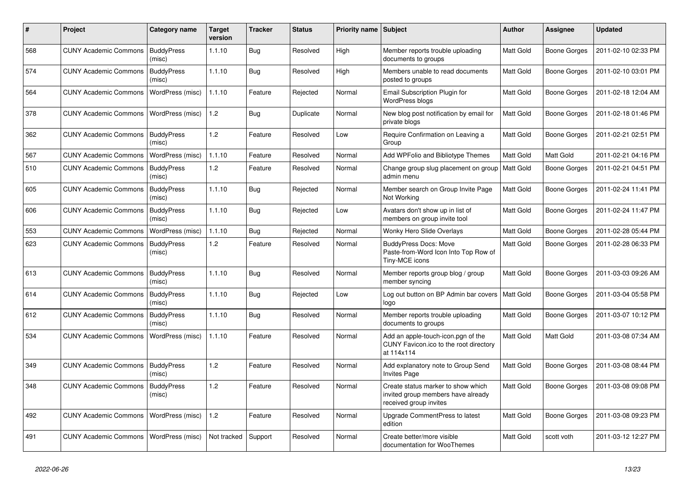| #   | Project                      | Category name               | Target<br>version | <b>Tracker</b> | <b>Status</b> | <b>Priority name Subject</b> |                                                                                                    | <b>Author</b>    | <b>Assignee</b>     | <b>Updated</b>      |
|-----|------------------------------|-----------------------------|-------------------|----------------|---------------|------------------------------|----------------------------------------------------------------------------------------------------|------------------|---------------------|---------------------|
| 568 | <b>CUNY Academic Commons</b> | <b>BuddyPress</b><br>(misc) | 1.1.10            | Bug            | Resolved      | High                         | Member reports trouble uploading<br>documents to groups                                            | <b>Matt Gold</b> | Boone Gorges        | 2011-02-10 02:33 PM |
| 574 | <b>CUNY Academic Commons</b> | <b>BuddyPress</b><br>(misc) | 1.1.10            | Bug            | Resolved      | High                         | Members unable to read documents<br>posted to groups                                               | <b>Matt Gold</b> | Boone Gorges        | 2011-02-10 03:01 PM |
| 564 | <b>CUNY Academic Commons</b> | WordPress (misc)            | 1.1.10            | Feature        | Rejected      | Normal                       | Email Subscription Plugin for<br><b>WordPress blogs</b>                                            | <b>Matt Gold</b> | <b>Boone Gorges</b> | 2011-02-18 12:04 AM |
| 378 | <b>CUNY Academic Commons</b> | WordPress (misc)            | 1.2               | <b>Bug</b>     | Duplicate     | Normal                       | New blog post notification by email for<br>private blogs                                           | Matt Gold        | <b>Boone Gorges</b> | 2011-02-18 01:46 PM |
| 362 | <b>CUNY Academic Commons</b> | <b>BuddyPress</b><br>(misc) | 1.2               | Feature        | Resolved      | Low                          | Require Confirmation on Leaving a<br>Group                                                         | Matt Gold        | <b>Boone Gorges</b> | 2011-02-21 02:51 PM |
| 567 | <b>CUNY Academic Commons</b> | WordPress (misc)            | 1.1.10            | Feature        | Resolved      | Normal                       | Add WPFolio and Bibliotype Themes                                                                  | Matt Gold        | Matt Gold           | 2011-02-21 04:16 PM |
| 510 | <b>CUNY Academic Commons</b> | <b>BuddyPress</b><br>(misc) | 1.2               | Feature        | Resolved      | Normal                       | Change group slug placement on group   Matt Gold<br>admin menu                                     |                  | Boone Gorges        | 2011-02-21 04:51 PM |
| 605 | <b>CUNY Academic Commons</b> | <b>BuddyPress</b><br>(misc) | 1.1.10            | <b>Bug</b>     | Rejected      | Normal                       | Member search on Group Invite Page<br>Not Working                                                  | <b>Matt Gold</b> | Boone Gorges        | 2011-02-24 11:41 PM |
| 606 | <b>CUNY Academic Commons</b> | <b>BuddyPress</b><br>(misc) | 1.1.10            | <b>Bug</b>     | Rejected      | Low                          | Avatars don't show up in list of<br>members on group invite tool                                   | Matt Gold        | Boone Gorges        | 2011-02-24 11:47 PM |
| 553 | <b>CUNY Academic Commons</b> | WordPress (misc)            | 1.1.10            | <b>Bug</b>     | Rejected      | Normal                       | Wonky Hero Slide Overlays                                                                          | Matt Gold        | <b>Boone Gorges</b> | 2011-02-28 05:44 PM |
| 623 | <b>CUNY Academic Commons</b> | <b>BuddyPress</b><br>(misc) | 1.2               | Feature        | Resolved      | Normal                       | <b>BuddyPress Docs: Move</b><br>Paste-from-Word Icon Into Top Row of<br>Tiny-MCE icons             | <b>Matt Gold</b> | Boone Gorges        | 2011-02-28 06:33 PM |
| 613 | <b>CUNY Academic Commons</b> | <b>BuddyPress</b><br>(misc) | 1.1.10            | Bug            | Resolved      | Normal                       | Member reports group blog / group<br>member syncing                                                | <b>Matt Gold</b> | <b>Boone Gorges</b> | 2011-03-03 09:26 AM |
| 614 | <b>CUNY Academic Commons</b> | <b>BuddyPress</b><br>(misc) | 1.1.10            | <b>Bug</b>     | Rejected      | Low                          | Log out button on BP Admin bar covers<br>logo                                                      | Matt Gold        | <b>Boone Gorges</b> | 2011-03-04 05:58 PM |
| 612 | <b>CUNY Academic Commons</b> | <b>BuddyPress</b><br>(misc) | 1.1.10            | <b>Bug</b>     | Resolved      | Normal                       | Member reports trouble uploading<br>documents to groups                                            | <b>Matt Gold</b> | <b>Boone Gorges</b> | 2011-03-07 10:12 PM |
| 534 | <b>CUNY Academic Commons</b> | WordPress (misc)            | 1.1.10            | Feature        | Resolved      | Normal                       | Add an apple-touch-icon.pgn of the<br>CUNY Favicon.ico to the root directory<br>at 114x114         | Matt Gold        | Matt Gold           | 2011-03-08 07:34 AM |
| 349 | <b>CUNY Academic Commons</b> | <b>BuddyPress</b><br>(misc) | 1.2               | Feature        | Resolved      | Normal                       | Add explanatory note to Group Send<br><b>Invites Page</b>                                          | Matt Gold        | Boone Gorges        | 2011-03-08 08:44 PM |
| 348 | <b>CUNY Academic Commons</b> | <b>BuddyPress</b><br>(misc) | 1.2               | Feature        | Resolved      | Normal                       | Create status marker to show which<br>invited group members have already<br>received group invites | Matt Gold        | Boone Gorges        | 2011-03-08 09:08 PM |
| 492 | <b>CUNY Academic Commons</b> | WordPress (misc)            | 1.2               | Feature        | Resolved      | Normal                       | Upgrade CommentPress to latest<br>edition                                                          | <b>Matt Gold</b> | <b>Boone Gorges</b> | 2011-03-08 09:23 PM |
| 491 | <b>CUNY Academic Commons</b> | WordPress (misc)            | Not tracked       | Support        | Resolved      | Normal                       | Create better/more visible<br>documentation for WooThemes                                          | Matt Gold        | scott voth          | 2011-03-12 12:27 PM |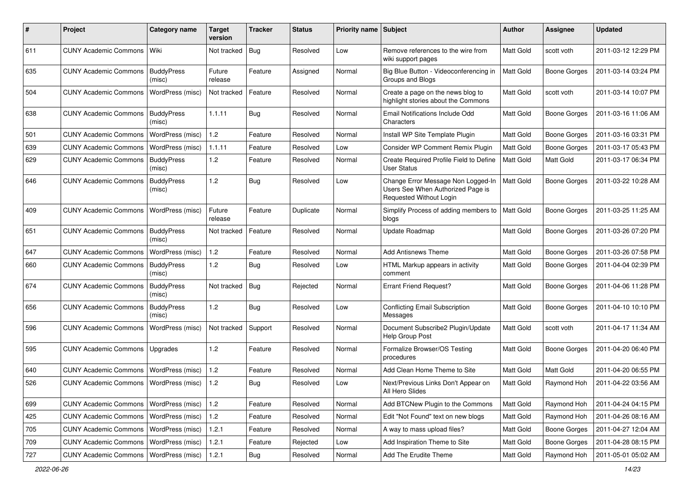| #   | Project                                  | Category name               | Target<br>version | <b>Tracker</b> | <b>Status</b> | Priority name Subject |                                                                                                    | Author           | <b>Assignee</b>     | <b>Updated</b>      |
|-----|------------------------------------------|-----------------------------|-------------------|----------------|---------------|-----------------------|----------------------------------------------------------------------------------------------------|------------------|---------------------|---------------------|
| 611 | <b>CUNY Academic Commons</b>             | Wiki                        | Not tracked       | Bug            | Resolved      | Low                   | Remove references to the wire from<br>wiki support pages                                           | Matt Gold        | scott voth          | 2011-03-12 12:29 PM |
| 635 | <b>CUNY Academic Commons</b>             | <b>BuddyPress</b><br>(misc) | Future<br>release | Feature        | Assigned      | Normal                | Big Blue Button - Videoconferencing in<br>Groups and Blogs                                         | Matt Gold        | <b>Boone Gorges</b> | 2011-03-14 03:24 PM |
| 504 | <b>CUNY Academic Commons</b>             | WordPress (misc)            | Not tracked       | Feature        | Resolved      | Normal                | Create a page on the news blog to<br>highlight stories about the Commons                           | <b>Matt Gold</b> | scott voth          | 2011-03-14 10:07 PM |
| 638 | <b>CUNY Academic Commons</b>             | <b>BuddyPress</b><br>(misc) | 1.1.11            | <b>Bug</b>     | Resolved      | Normal                | Email Notifications Include Odd<br>Characters                                                      | Matt Gold        | <b>Boone Gorges</b> | 2011-03-16 11:06 AM |
| 501 | <b>CUNY Academic Commons</b>             | WordPress (misc)            | $1.2$             | Feature        | Resolved      | Normal                | Install WP Site Template Plugin                                                                    | Matt Gold        | <b>Boone Gorges</b> | 2011-03-16 03:31 PM |
| 639 | <b>CUNY Academic Commons</b>             | WordPress (misc)            | 1.1.11            | Feature        | Resolved      | Low                   | Consider WP Comment Remix Plugin                                                                   | Matt Gold        | <b>Boone Gorges</b> | 2011-03-17 05:43 PM |
| 629 | <b>CUNY Academic Commons</b>             | <b>BuddyPress</b><br>(misc) | $1.2$             | Feature        | Resolved      | Normal                | Create Required Profile Field to Define<br><b>User Status</b>                                      | Matt Gold        | Matt Gold           | 2011-03-17 06:34 PM |
| 646 | <b>CUNY Academic Commons</b>             | <b>BuddyPress</b><br>(misc) | 1.2               | <b>Bug</b>     | Resolved      | Low                   | Change Error Message Non Logged-In<br>Users See When Authorized Page is<br>Requested Without Login | <b>Matt Gold</b> | <b>Boone Gorges</b> | 2011-03-22 10:28 AM |
| 409 | <b>CUNY Academic Commons</b>             | WordPress (misc)            | Future<br>release | Feature        | Duplicate     | Normal                | Simplify Process of adding members to<br>blogs                                                     | Matt Gold        | <b>Boone Gorges</b> | 2011-03-25 11:25 AM |
| 651 | <b>CUNY Academic Commons</b>             | <b>BuddyPress</b><br>(misc) | Not tracked       | Feature        | Resolved      | Normal                | Update Roadmap                                                                                     | Matt Gold        | <b>Boone Gorges</b> | 2011-03-26 07:20 PM |
| 647 | <b>CUNY Academic Commons</b>             | WordPress (misc)            | 1.2               | Feature        | Resolved      | Normal                | <b>Add Antisnews Theme</b>                                                                         | Matt Gold        | <b>Boone Gorges</b> | 2011-03-26 07:58 PM |
| 660 | <b>CUNY Academic Commons</b>             | <b>BuddyPress</b><br>(misc) | 1.2               | Bug            | Resolved      | Low                   | HTML Markup appears in activity<br>comment                                                         | Matt Gold        | <b>Boone Gorges</b> | 2011-04-04 02:39 PM |
| 674 | <b>CUNY Academic Commons</b>             | <b>BuddyPress</b><br>(misc) | Not tracked   Bug |                | Rejected      | Normal                | <b>Errant Friend Request?</b>                                                                      | <b>Matt Gold</b> | <b>Boone Gorges</b> | 2011-04-06 11:28 PM |
| 656 | <b>CUNY Academic Commons</b>             | <b>BuddyPress</b><br>(misc) | 1.2               | <b>Bug</b>     | Resolved      | Low                   | <b>Conflicting Email Subscription</b><br>Messages                                                  | Matt Gold        | <b>Boone Gorges</b> | 2011-04-10 10:10 PM |
| 596 | <b>CUNY Academic Commons</b>             | WordPress (misc)            | Not tracked       | Support        | Resolved      | Normal                | Document Subscribe2 Plugin/Update<br>Help Group Post                                               | Matt Gold        | scott voth          | 2011-04-17 11:34 AM |
| 595 | <b>CUNY Academic Commons</b>             | Upgrades                    | 1.2               | Feature        | Resolved      | Normal                | Formalize Browser/OS Testing<br>procedures                                                         | Matt Gold        | <b>Boone Gorges</b> | 2011-04-20 06:40 PM |
| 640 | <b>CUNY Academic Commons</b>             | WordPress (misc)            | 1.2               | Feature        | Resolved      | Normal                | Add Clean Home Theme to Site                                                                       | Matt Gold        | Matt Gold           | 2011-04-20 06:55 PM |
| 526 | <b>CUNY Academic Commons</b>             | <b>WordPress (misc)</b>     | 1.2               | <b>Bug</b>     | Resolved      | Low                   | Next/Previous Links Don't Appear on<br>All Hero Slides                                             | Matt Gold        | Raymond Hoh         | 2011-04-22 03:56 AM |
| 699 | <b>CUNY Academic Commons</b>             | WordPress (misc)            | $1.2$             | Feature        | Resolved      | Normal                | Add BTCNew Plugin to the Commons                                                                   | Matt Gold        | Raymond Hoh         | 2011-04-24 04:15 PM |
| 425 | <b>CUNY Academic Commons</b>             | <b>WordPress (misc)</b>     | $1.2\,$           | Feature        | Resolved      | Normal                | Edit "Not Found" text on new blogs                                                                 | Matt Gold        | Raymond Hoh         | 2011-04-26 08:16 AM |
| 705 | <b>CUNY Academic Commons</b>             | WordPress (misc)            | 1.2.1             | Feature        | Resolved      | Normal                | A way to mass upload files?                                                                        | Matt Gold        | Boone Gorges        | 2011-04-27 12:04 AM |
| 709 | CUNY Academic Commons   WordPress (misc) |                             | 1.2.1             | Feature        | Rejected      | Low                   | Add Inspiration Theme to Site                                                                      | Matt Gold        | Boone Gorges        | 2011-04-28 08:15 PM |
| 727 | <b>CUNY Academic Commons</b>             | WordPress (misc)            | 1.2.1             | Bug            | Resolved      | Normal                | Add The Erudite Theme                                                                              | Matt Gold        | Raymond Hoh         | 2011-05-01 05:02 AM |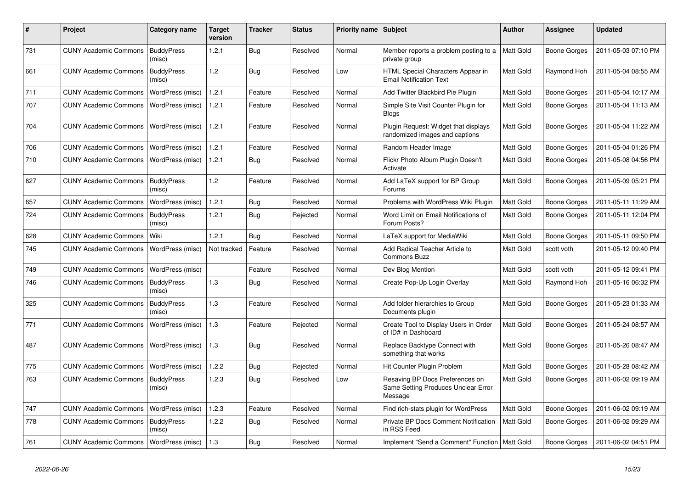| #   | Project                                  | Category name               | Target<br>version | Tracker    | <b>Status</b> | <b>Priority name Subject</b> |                                                                                   | <b>Author</b>    | <b>Assignee</b>     | <b>Updated</b>      |
|-----|------------------------------------------|-----------------------------|-------------------|------------|---------------|------------------------------|-----------------------------------------------------------------------------------|------------------|---------------------|---------------------|
| 731 | <b>CUNY Academic Commons</b>             | <b>BuddyPress</b><br>(misc) | 1.2.1             | Bug        | Resolved      | Normal                       | Member reports a problem posting to a<br>private group                            | Matt Gold        | Boone Gorges        | 2011-05-03 07:10 PM |
| 661 | <b>CUNY Academic Commons</b>             | <b>BuddyPress</b><br>(misc) | 1.2               | <b>Bug</b> | Resolved      | Low                          | HTML Special Characters Appear in<br><b>Email Notification Text</b>               | Matt Gold        | Raymond Hoh         | 2011-05-04 08:55 AM |
| 711 | <b>CUNY Academic Commons</b>             | WordPress (misc)            | 1.2.1             | Feature    | Resolved      | Normal                       | Add Twitter Blackbird Pie Plugin                                                  | Matt Gold        | <b>Boone Gorges</b> | 2011-05-04 10:17 AM |
| 707 | <b>CUNY Academic Commons</b>             | WordPress (misc)            | 1.2.1             | Feature    | Resolved      | Normal                       | Simple Site Visit Counter Plugin for<br><b>Blogs</b>                              | Matt Gold        | Boone Gorges        | 2011-05-04 11:13 AM |
| 704 | <b>CUNY Academic Commons</b>             | WordPress (misc)            | 1.2.1             | Feature    | Resolved      | Normal                       | Plugin Request: Widget that displays<br>randomized images and captions            | <b>Matt Gold</b> | <b>Boone Gorges</b> | 2011-05-04 11:22 AM |
| 706 | <b>CUNY Academic Commons</b>             | WordPress (misc)            | 1.2.1             | Feature    | Resolved      | Normal                       | Random Header Image                                                               | Matt Gold        | Boone Gorges        | 2011-05-04 01:26 PM |
| 710 | <b>CUNY Academic Commons</b>             | WordPress (misc)            | 1.2.1             | <b>Bug</b> | Resolved      | Normal                       | Flickr Photo Album Plugin Doesn't<br>Activate                                     | Matt Gold        | Boone Gorges        | 2011-05-08 04:56 PM |
| 627 | <b>CUNY Academic Commons</b>             | <b>BuddyPress</b><br>(misc) | 1.2               | Feature    | Resolved      | Normal                       | Add LaTeX support for BP Group<br>Forums                                          | <b>Matt Gold</b> | <b>Boone Gorges</b> | 2011-05-09 05:21 PM |
| 657 | <b>CUNY Academic Commons</b>             | WordPress (misc)            | 1.2.1             | Bug        | Resolved      | Normal                       | Problems with WordPress Wiki Plugin                                               | Matt Gold        | <b>Boone Gorges</b> | 2011-05-11 11:29 AM |
| 724 | <b>CUNY Academic Commons</b>             | <b>BuddyPress</b><br>(misc) | 1.2.1             | <b>Bug</b> | Rejected      | Normal                       | Word Limit on Email Notifications of<br>Forum Posts?                              | Matt Gold        | Boone Gorges        | 2011-05-11 12:04 PM |
| 628 | <b>CUNY Academic Commons</b>             | Wiki                        | 1.2.1             | Bug        | Resolved      | Normal                       | LaTeX support for MediaWiki                                                       | Matt Gold        | Boone Gorges        | 2011-05-11 09:50 PM |
| 745 | <b>CUNY Academic Commons</b>             | WordPress (misc)            | Not tracked       | Feature    | Resolved      | Normal                       | Add Radical Teacher Article to<br>Commons Buzz                                    | Matt Gold        | scott voth          | 2011-05-12 09:40 PM |
| 749 | <b>CUNY Academic Commons</b>             | WordPress (misc)            |                   | Feature    | Resolved      | Normal                       | Dev Blog Mention                                                                  | <b>Matt Gold</b> | scott voth          | 2011-05-12 09:41 PM |
| 746 | <b>CUNY Academic Commons</b>             | <b>BuddyPress</b><br>(misc) | 1.3               | Bug        | Resolved      | Normal                       | Create Pop-Up Login Overlay                                                       | Matt Gold        | Raymond Hoh         | 2011-05-16 06:32 PM |
| 325 | <b>CUNY Academic Commons</b>             | <b>BuddyPress</b><br>(misc) | 1.3               | Feature    | Resolved      | Normal                       | Add folder hierarchies to Group<br>Documents plugin                               | Matt Gold        | <b>Boone Gorges</b> | 2011-05-23 01:33 AM |
| 771 | <b>CUNY Academic Commons</b>             | WordPress (misc)            | 1.3               | Feature    | Rejected      | Normal                       | Create Tool to Display Users in Order<br>of ID# in Dashboard                      | Matt Gold        | Boone Gorges        | 2011-05-24 08:57 AM |
| 487 | <b>CUNY Academic Commons</b>             | WordPress (misc)            | 1.3               | Bug        | Resolved      | Normal                       | Replace Backtype Connect with<br>something that works                             | Matt Gold        | Boone Gorges        | 2011-05-26 08:47 AM |
| 775 | <b>CUNY Academic Commons</b>             | WordPress (misc)            | 1.2.2             | <b>Bug</b> | Rejected      | Normal                       | Hit Counter Plugin Problem                                                        | <b>Matt Gold</b> | <b>Boone Gorges</b> | 2011-05-28 08:42 AM |
| 763 | <b>CUNY Academic Commons</b>             | <b>BuddyPress</b><br>(misc) | 1.2.3             | Bug        | Resolved      | Low                          | Resaving BP Docs Preferences on<br>Same Setting Produces Unclear Error<br>Message | Matt Gold        | Boone Gorges        | 2011-06-02 09:19 AM |
| 747 | <b>CUNY Academic Commons</b>             | WordPress (misc)            | 1.2.3             | Feature    | Resolved      | Normal                       | Find rich-stats plugin for WordPress                                              | Matt Gold        | Boone Gorges        | 2011-06-02 09:19 AM |
| 778 | <b>CUNY Academic Commons</b>             | <b>BuddyPress</b><br>(misc) | 1.2.2             | Bug        | Resolved      | Normal                       | <b>Private BP Docs Comment Notification</b><br>in RSS Feed                        | <b>Matt Gold</b> | Boone Gorges        | 2011-06-02 09:29 AM |
| 761 | CUNY Academic Commons   WordPress (misc) |                             | 1.3               | Bug        | Resolved      | Normal                       | Implement "Send a Comment" Function   Matt Gold                                   |                  | Boone Gorges        | 2011-06-02 04:51 PM |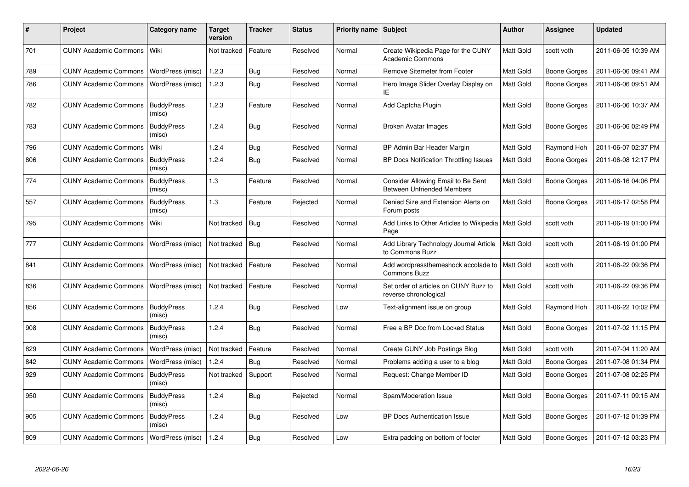| #   | <b>Project</b>                           | Category name               | <b>Target</b><br>version | <b>Tracker</b> | <b>Status</b> | <b>Priority name</b> | Subject                                                                 | <b>Author</b>    | Assignee            | <b>Updated</b>      |
|-----|------------------------------------------|-----------------------------|--------------------------|----------------|---------------|----------------------|-------------------------------------------------------------------------|------------------|---------------------|---------------------|
| 701 | <b>CUNY Academic Commons</b>             | Wiki                        | Not tracked              | Feature        | Resolved      | Normal               | Create Wikipedia Page for the CUNY<br><b>Academic Commons</b>           | Matt Gold        | scott voth          | 2011-06-05 10:39 AM |
| 789 | <b>CUNY Academic Commons</b>             | WordPress (misc)            | 1.2.3                    | Bug            | Resolved      | Normal               | Remove Sitemeter from Footer                                            | Matt Gold        | <b>Boone Gorges</b> | 2011-06-06 09:41 AM |
| 786 | <b>CUNY Academic Commons</b>             | WordPress (misc)            | 1.2.3                    | Bug            | Resolved      | Normal               | Hero Image Slider Overlay Display on<br>ΙE                              | Matt Gold        | Boone Gorges        | 2011-06-06 09:51 AM |
| 782 | <b>CUNY Academic Commons</b>             | <b>BuddyPress</b><br>(misc) | 1.2.3                    | Feature        | Resolved      | Normal               | Add Captcha Plugin                                                      | Matt Gold        | <b>Boone Gorges</b> | 2011-06-06 10:37 AM |
| 783 | <b>CUNY Academic Commons</b>             | <b>BuddyPress</b><br>(misc) | 1.2.4                    | Bug            | Resolved      | Normal               | <b>Broken Avatar Images</b>                                             | Matt Gold        | Boone Gorges        | 2011-06-06 02:49 PM |
| 796 | <b>CUNY Academic Commons</b>             | Wiki                        | 1.2.4                    | Bug            | Resolved      | Normal               | BP Admin Bar Header Margin                                              | Matt Gold        | Raymond Hoh         | 2011-06-07 02:37 PM |
| 806 | <b>CUNY Academic Commons</b>             | <b>BuddyPress</b><br>(misc) | 1.2.4                    | Bug            | Resolved      | Normal               | BP Docs Notification Throttling Issues                                  | Matt Gold        | Boone Gorges        | 2011-06-08 12:17 PM |
| 774 | <b>CUNY Academic Commons</b>             | <b>BuddyPress</b><br>(misc) | 1.3                      | Feature        | Resolved      | Normal               | Consider Allowing Email to Be Sent<br><b>Between Unfriended Members</b> | Matt Gold        | <b>Boone Gorges</b> | 2011-06-16 04:06 PM |
| 557 | <b>CUNY Academic Commons</b>             | <b>BuddyPress</b><br>(misc) | 1.3                      | Feature        | Rejected      | Normal               | Denied Size and Extension Alerts on<br>Forum posts                      | Matt Gold        | <b>Boone Gorges</b> | 2011-06-17 02:58 PM |
| 795 | <b>CUNY Academic Commons</b>             | Wiki                        | Not tracked              | Bug            | Resolved      | Normal               | Add Links to Other Articles to Wikipedia<br>Page                        | <b>Matt Gold</b> | scott voth          | 2011-06-19 01:00 PM |
| 777 | <b>CUNY Academic Commons</b>             | WordPress (misc)            | Not tracked              | Bug            | Resolved      | Normal               | Add Library Technology Journal Article<br>to Commons Buzz               | Matt Gold        | scott voth          | 2011-06-19 01:00 PM |
| 841 | <b>CUNY Academic Commons</b>             | WordPress (misc)            | Not tracked              | Feature        | Resolved      | Normal               | Add wordpressthemeshock accolade to<br><b>Commons Buzz</b>              | <b>Matt Gold</b> | scott voth          | 2011-06-22 09:36 PM |
| 836 | <b>CUNY Academic Commons</b>             | WordPress (misc)            | Not tracked              | Feature        | Resolved      | Normal               | Set order of articles on CUNY Buzz to<br>reverse chronological          | Matt Gold        | scott voth          | 2011-06-22 09:36 PM |
| 856 | <b>CUNY Academic Commons</b>             | <b>BuddyPress</b><br>(misc) | 1.2.4                    | Bug            | Resolved      | Low                  | Text-alignment issue on group                                           | Matt Gold        | Raymond Hoh         | 2011-06-22 10:02 PM |
| 908 | <b>CUNY Academic Commons</b>             | <b>BuddyPress</b><br>(misc) | 1.2.4                    | Bug            | Resolved      | Normal               | Free a BP Doc from Locked Status                                        | Matt Gold        | <b>Boone Gorges</b> | 2011-07-02 11:15 PM |
| 829 | <b>CUNY Academic Commons</b>             | WordPress (misc)            | Not tracked              | Feature        | Resolved      | Normal               | Create CUNY Job Postings Blog                                           | Matt Gold        | scott voth          | 2011-07-04 11:20 AM |
| 842 | <b>CUNY Academic Commons</b>             | WordPress (misc)            | 1.2.4                    | Bug            | Resolved      | Normal               | Problems adding a user to a blog                                        | Matt Gold        | Boone Gorges        | 2011-07-08 01:34 PM |
| 929 | <b>CUNY Academic Commons</b>             | <b>BuddyPress</b><br>(misc) | Not tracked              | Support        | Resolved      | Normal               | Request: Change Member ID                                               | Matt Gold        | <b>Boone Gorges</b> | 2011-07-08 02:25 PM |
| 950 | <b>CUNY Academic Commons</b>             | <b>BuddyPress</b><br>(misc) | 1.2.4                    | Bug            | Rejected      | Normal               | Spam/Moderation Issue                                                   | Matt Gold        | <b>Boone Gorges</b> | 2011-07-11 09:15 AM |
| 905 | <b>CUNY Academic Commons</b>             | <b>BuddyPress</b><br>(misc) | 1.2.4                    | Bug            | Resolved      | Low                  | <b>BP Docs Authentication Issue</b>                                     | Matt Gold        | Boone Gorges        | 2011-07-12 01:39 PM |
| 809 | CUNY Academic Commons   WordPress (misc) |                             | 1.2.4                    | Bug            | Resolved      | Low                  | Extra padding on bottom of footer                                       | Matt Gold        | <b>Boone Gorges</b> | 2011-07-12 03:23 PM |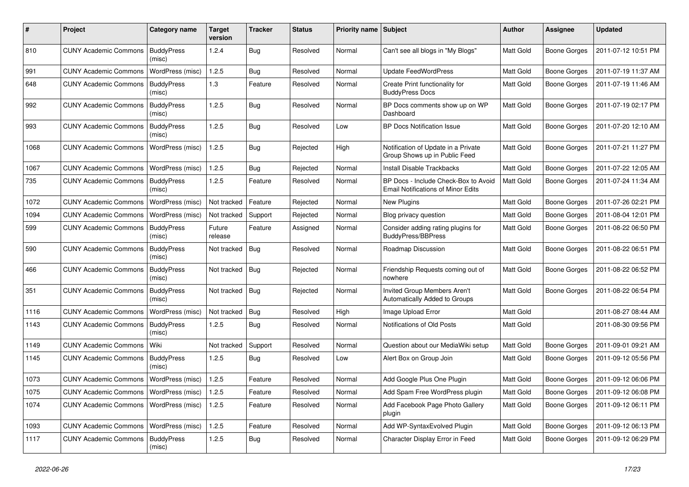| #    | Project                                   | Category name               | Target<br>version | <b>Tracker</b> | <b>Status</b> | <b>Priority name</b> | Subject                                                                           | <b>Author</b>    | Assignee            | <b>Updated</b>      |
|------|-------------------------------------------|-----------------------------|-------------------|----------------|---------------|----------------------|-----------------------------------------------------------------------------------|------------------|---------------------|---------------------|
| 810  | <b>CUNY Academic Commons</b>              | <b>BuddyPress</b><br>(misc) | 1.2.4             | Bug            | Resolved      | Normal               | Can't see all blogs in "My Blogs"                                                 | Matt Gold        | <b>Boone Gorges</b> | 2011-07-12 10:51 PM |
| 991  | <b>CUNY Academic Commons</b>              | WordPress (misc)            | 1.2.5             | <b>Bug</b>     | Resolved      | Normal               | <b>Update FeedWordPress</b>                                                       | Matt Gold        | <b>Boone Gorges</b> | 2011-07-19 11:37 AM |
| 648  | <b>CUNY Academic Commons</b>              | <b>BuddyPress</b><br>(misc) | 1.3               | Feature        | Resolved      | Normal               | Create Print functionality for<br><b>BuddyPress Docs</b>                          | Matt Gold        | <b>Boone Gorges</b> | 2011-07-19 11:46 AM |
| 992  | <b>CUNY Academic Commons</b>              | <b>BuddyPress</b><br>(misc) | 1.2.5             | Bug            | Resolved      | Normal               | BP Docs comments show up on WP<br>Dashboard                                       | Matt Gold        | <b>Boone Gorges</b> | 2011-07-19 02:17 PM |
| 993  | <b>CUNY Academic Commons</b>              | <b>BuddyPress</b><br>(misc) | 1.2.5             | Bug            | Resolved      | Low                  | <b>BP Docs Notification Issue</b>                                                 | Matt Gold        | <b>Boone Gorges</b> | 2011-07-20 12:10 AM |
| 1068 | <b>CUNY Academic Commons</b>              | WordPress (misc)            | 1.2.5             | Bug            | Rejected      | High                 | Notification of Update in a Private<br>Group Shows up in Public Feed              | Matt Gold        | <b>Boone Gorges</b> | 2011-07-21 11:27 PM |
| 1067 | <b>CUNY Academic Commons</b>              | WordPress (misc)            | 1.2.5             | <b>Bug</b>     | Rejected      | Normal               | Install Disable Trackbacks                                                        | Matt Gold        | <b>Boone Gorges</b> | 2011-07-22 12:05 AM |
| 735  | <b>CUNY Academic Commons</b>              | <b>BuddyPress</b><br>(misc) | 1.2.5             | Feature        | Resolved      | Normal               | BP Docs - Include Check-Box to Avoid<br><b>Email Notifications of Minor Edits</b> | Matt Gold        | <b>Boone Gorges</b> | 2011-07-24 11:34 AM |
| 1072 | <b>CUNY Academic Commons</b>              | WordPress (misc)            | Not tracked       | Feature        | Rejected      | Normal               | <b>New Plugins</b>                                                                | Matt Gold        | <b>Boone Gorges</b> | 2011-07-26 02:21 PM |
| 1094 | <b>CUNY Academic Commons</b>              | WordPress (misc)            | Not tracked       | Support        | Rejected      | Normal               | Blog privacy question                                                             | <b>Matt Gold</b> | <b>Boone Gorges</b> | 2011-08-04 12:01 PM |
| 599  | <b>CUNY Academic Commons</b>              | <b>BuddyPress</b><br>(misc) | Future<br>release | Feature        | Assigned      | Normal               | Consider adding rating plugins for<br><b>BuddyPress/BBPress</b>                   | Matt Gold        | <b>Boone Gorges</b> | 2011-08-22 06:50 PM |
| 590  | <b>CUNY Academic Commons</b>              | <b>BuddyPress</b><br>(misc) | Not tracked       | Bug            | Resolved      | Normal               | Roadmap Discussion                                                                | Matt Gold        | <b>Boone Gorges</b> | 2011-08-22 06:51 PM |
| 466  | <b>CUNY Academic Commons</b>              | <b>BuddyPress</b><br>(misc) | Not tracked       | <b>Bug</b>     | Rejected      | Normal               | Friendship Requests coming out of<br>nowhere                                      | Matt Gold        | <b>Boone Gorges</b> | 2011-08-22 06:52 PM |
| 351  | <b>CUNY Academic Commons</b>              | <b>BuddyPress</b><br>(misc) | Not tracked       | Bug            | Rejected      | Normal               | Invited Group Members Aren't<br>Automatically Added to Groups                     | Matt Gold        | <b>Boone Gorges</b> | 2011-08-22 06:54 PM |
| 1116 | <b>CUNY Academic Commons</b>              | WordPress (misc)            | Not tracked       | Bug            | Resolved      | High                 | Image Upload Error                                                                | Matt Gold        |                     | 2011-08-27 08:44 AM |
| 1143 | <b>CUNY Academic Commons</b>              | <b>BuddyPress</b><br>(misc) | 1.2.5             | Bug            | Resolved      | Normal               | Notifications of Old Posts                                                        | Matt Gold        |                     | 2011-08-30 09:56 PM |
| 1149 | <b>CUNY Academic Commons</b>              | Wiki                        | Not tracked       | Support        | Resolved      | Normal               | Question about our MediaWiki setup                                                | Matt Gold        | <b>Boone Gorges</b> | 2011-09-01 09:21 AM |
| 1145 | <b>CUNY Academic Commons</b>              | <b>BuddyPress</b><br>(misc) | 1.2.5             | <b>Bug</b>     | Resolved      | Low                  | Alert Box on Group Join                                                           | Matt Gold        | <b>Boone Gorges</b> | 2011-09-12 05:56 PM |
| 1073 | <b>CUNY Academic Commons</b>              | WordPress (misc)            | 1.2.5             | Feature        | Resolved      | Normal               | Add Google Plus One Plugin                                                        | Matt Gold        | <b>Boone Gorges</b> | 2011-09-12 06:06 PM |
| 1075 | CUNY Academic Commons   WordPress (misc)  |                             | 1.2.5             | Feature        | Resolved      | Normal               | Add Spam Free WordPress plugin                                                    | Matt Gold        | <b>Boone Gorges</b> | 2011-09-12 06:08 PM |
| 1074 | CUNY Academic Commons   WordPress (misc)  |                             | 1.2.5             | Feature        | Resolved      | Normal               | Add Facebook Page Photo Gallery<br>plugin                                         | Matt Gold        | Boone Gorges        | 2011-09-12 06:11 PM |
| 1093 | CUNY Academic Commons   WordPress (misc)  |                             | 1.2.5             | Feature        | Resolved      | Normal               | Add WP-SyntaxEvolved Plugin                                                       | Matt Gold        | Boone Gorges        | 2011-09-12 06:13 PM |
| 1117 | <b>CUNY Academic Commons   BuddyPress</b> | (misc)                      | 1.2.5             | <b>Bug</b>     | Resolved      | Normal               | Character Display Error in Feed                                                   | Matt Gold        | Boone Gorges        | 2011-09-12 06:29 PM |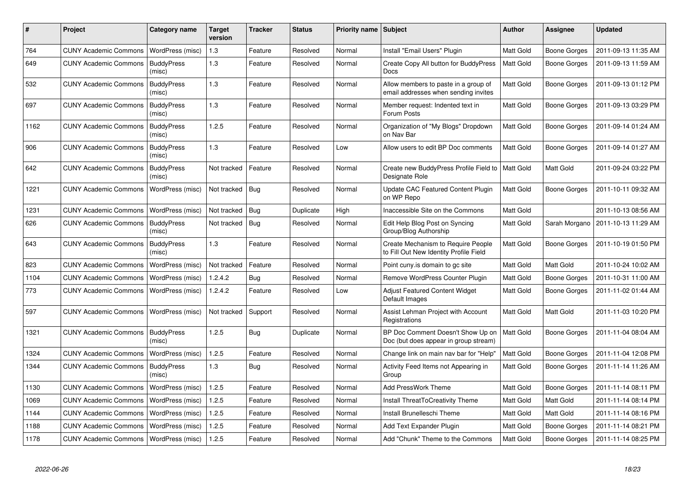| #    | <b>Project</b>               | Category name               | <b>Target</b><br>version | Tracker    | <b>Status</b> | <b>Priority name   Subject</b> |                                                                              | <b>Author</b>    | Assignee            | <b>Updated</b>      |
|------|------------------------------|-----------------------------|--------------------------|------------|---------------|--------------------------------|------------------------------------------------------------------------------|------------------|---------------------|---------------------|
| 764  | <b>CUNY Academic Commons</b> | WordPress (misc)            | $1.3$                    | Feature    | Resolved      | Normal                         | Install "Email Users" Plugin                                                 | Matt Gold        | Boone Gorges        | 2011-09-13 11:35 AM |
| 649  | <b>CUNY Academic Commons</b> | <b>BuddyPress</b><br>(misc) | 1.3                      | Feature    | Resolved      | Normal                         | Create Copy All button for BuddyPress<br><b>Docs</b>                         | <b>Matt Gold</b> | Boone Gorges        | 2011-09-13 11:59 AM |
| 532  | <b>CUNY Academic Commons</b> | <b>BuddyPress</b><br>(misc) | $1.3$                    | Feature    | Resolved      | Normal                         | Allow members to paste in a group of<br>email addresses when sending invites | Matt Gold        | Boone Gorges        | 2011-09-13 01:12 PM |
| 697  | <b>CUNY Academic Commons</b> | <b>BuddyPress</b><br>(misc) | 1.3                      | Feature    | Resolved      | Normal                         | Member request: Indented text in<br>Forum Posts                              | Matt Gold        | <b>Boone Gorges</b> | 2011-09-13 03:29 PM |
| 1162 | <b>CUNY Academic Commons</b> | <b>BuddyPress</b><br>(misc) | 1.2.5                    | Feature    | Resolved      | Normal                         | Organization of "My Blogs" Dropdown<br>on Nav Bar                            | Matt Gold        | <b>Boone Gorges</b> | 2011-09-14 01:24 AM |
| 906  | <b>CUNY Academic Commons</b> | <b>BuddyPress</b><br>(misc) | 1.3                      | Feature    | Resolved      | Low                            | Allow users to edit BP Doc comments                                          | Matt Gold        | Boone Gorges        | 2011-09-14 01:27 AM |
| 642  | <b>CUNY Academic Commons</b> | <b>BuddyPress</b><br>(misc) | Not tracked              | Feature    | Resolved      | Normal                         | Create new BuddyPress Profile Field to<br>Designate Role                     | <b>Matt Gold</b> | Matt Gold           | 2011-09-24 03:22 PM |
| 1221 | <b>CUNY Academic Commons</b> | WordPress (misc)            | Not tracked              | Bug        | Resolved      | Normal                         | Update CAC Featured Content Plugin<br>on WP Repo                             | <b>Matt Gold</b> | Boone Gorges        | 2011-10-11 09:32 AM |
| 1231 | <b>CUNY Academic Commons</b> | WordPress (misc)            | Not tracked   Bug        |            | Duplicate     | High                           | Inaccessible Site on the Commons                                             | Matt Gold        |                     | 2011-10-13 08:56 AM |
| 626  | <b>CUNY Academic Commons</b> | <b>BuddyPress</b><br>(misc) | Not tracked              | Bug        | Resolved      | Normal                         | Edit Help Blog Post on Syncing<br>Group/Blog Authorship                      | <b>Matt Gold</b> | Sarah Morgano       | 2011-10-13 11:29 AM |
| 643  | <b>CUNY Academic Commons</b> | <b>BuddyPress</b><br>(misc) | 1.3                      | Feature    | Resolved      | Normal                         | Create Mechanism to Require People<br>to Fill Out New Identity Profile Field | <b>Matt Gold</b> | <b>Boone Gorges</b> | 2011-10-19 01:50 PM |
| 823  | <b>CUNY Academic Commons</b> | WordPress (misc)            | Not tracked              | Feature    | Resolved      | Normal                         | Point cuny is domain to go site                                              | Matt Gold        | Matt Gold           | 2011-10-24 10:02 AM |
| 1104 | <b>CUNY Academic Commons</b> | WordPress (misc)            | 1.2.4.2                  | <b>Bug</b> | Resolved      | Normal                         | Remove WordPress Counter Plugin                                              | Matt Gold        | <b>Boone Gorges</b> | 2011-10-31 11:00 AM |
| 773  | <b>CUNY Academic Commons</b> | WordPress (misc)            | 1.2.4.2                  | Feature    | Resolved      | Low                            | <b>Adjust Featured Content Widget</b><br>Default Images                      | Matt Gold        | <b>Boone Gorges</b> | 2011-11-02 01:44 AM |
| 597  | <b>CUNY Academic Commons</b> | WordPress (misc)            | Not tracked              | Support    | Resolved      | Normal                         | Assist Lehman Project with Account<br>Registrations                          | Matt Gold        | Matt Gold           | 2011-11-03 10:20 PM |
| 1321 | <b>CUNY Academic Commons</b> | <b>BuddyPress</b><br>(misc) | 1.2.5                    | Bug        | Duplicate     | Normal                         | BP Doc Comment Doesn't Show Up on<br>Doc (but does appear in group stream)   | Matt Gold        | Boone Gorges        | 2011-11-04 08:04 AM |
| 1324 | <b>CUNY Academic Commons</b> | WordPress (misc)            | 1.2.5                    | Feature    | Resolved      | Normal                         | Change link on main nav bar for "Help"                                       | Matt Gold        | <b>Boone Gorges</b> | 2011-11-04 12:08 PM |
| 1344 | <b>CUNY Academic Commons</b> | <b>BuddyPress</b><br>(misc) | 1.3                      | <b>Bug</b> | Resolved      | Normal                         | Activity Feed Items not Appearing in<br>Group                                | <b>Matt Gold</b> | Boone Gorges        | 2011-11-14 11:26 AM |
| 1130 | <b>CUNY Academic Commons</b> | WordPress (misc)            | 1.2.5                    | Feature    | Resolved      | Normal                         | Add PressWork Theme                                                          | Matt Gold        | <b>Boone Gorges</b> | 2011-11-14 08:11 PM |
| 1069 | <b>CUNY Academic Commons</b> | WordPress (misc)            | 1.2.5                    | Feature    | Resolved      | Normal                         | Install ThreatToCreativity Theme                                             | Matt Gold        | Matt Gold           | 2011-11-14 08:14 PM |
| 1144 | <b>CUNY Academic Commons</b> | WordPress (misc)            | 1.2.5                    | Feature    | Resolved      | Normal                         | Install Brunelleschi Theme                                                   | Matt Gold        | Matt Gold           | 2011-11-14 08:16 PM |
| 1188 | <b>CUNY Academic Commons</b> | WordPress (misc)            | 1.2.5                    | Feature    | Resolved      | Normal                         | Add Text Expander Plugin                                                     | Matt Gold        | <b>Boone Gorges</b> | 2011-11-14 08:21 PM |
| 1178 | <b>CUNY Academic Commons</b> | WordPress (misc)            | 1.2.5                    | Feature    | Resolved      | Normal                         | Add "Chunk" Theme to the Commons                                             | <b>Matt Gold</b> | <b>Boone Gorges</b> | 2011-11-14 08:25 PM |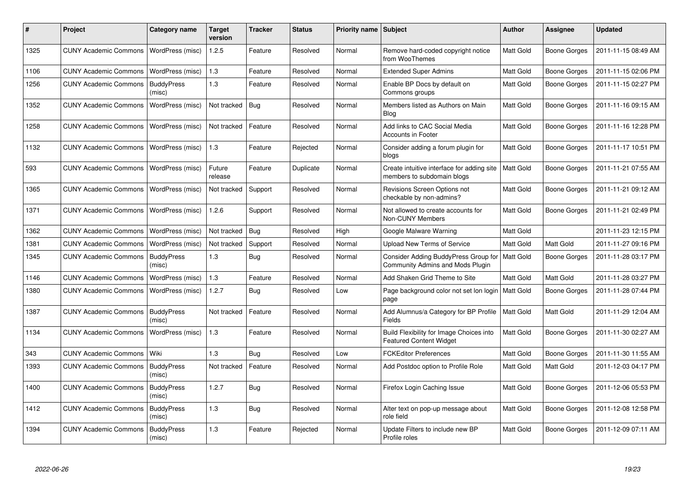| ∦    | Project                      | Category name               | <b>Target</b><br>version | Tracker    | <b>Status</b> | <b>Priority name   Subject</b> |                                                                                      | <b>Author</b>    | Assignee            | <b>Updated</b>      |
|------|------------------------------|-----------------------------|--------------------------|------------|---------------|--------------------------------|--------------------------------------------------------------------------------------|------------------|---------------------|---------------------|
| 1325 | <b>CUNY Academic Commons</b> | WordPress (misc)            | 1.2.5                    | Feature    | Resolved      | Normal                         | Remove hard-coded copyright notice<br>from WooThemes                                 | <b>Matt Gold</b> | <b>Boone Gorges</b> | 2011-11-15 08:49 AM |
| 1106 | <b>CUNY Academic Commons</b> | WordPress (misc)            | 1.3                      | Feature    | Resolved      | Normal                         | <b>Extended Super Admins</b>                                                         | Matt Gold        | <b>Boone Gorges</b> | 2011-11-15 02:06 PM |
| 1256 | <b>CUNY Academic Commons</b> | <b>BuddyPress</b><br>(misc) | 1.3                      | Feature    | Resolved      | Normal                         | Enable BP Docs by default on<br>Commons groups                                       | <b>Matt Gold</b> | Boone Gorges        | 2011-11-15 02:27 PM |
| 1352 | <b>CUNY Academic Commons</b> | WordPress (misc)            | Not tracked   Bug        |            | Resolved      | Normal                         | Members listed as Authors on Main<br><b>Blog</b>                                     | Matt Gold        | <b>Boone Gorges</b> | 2011-11-16 09:15 AM |
| 1258 | <b>CUNY Academic Commons</b> | WordPress (misc)            | Not tracked              | Feature    | Resolved      | Normal                         | Add links to CAC Social Media<br>Accounts in Footer                                  | Matt Gold        | <b>Boone Gorges</b> | 2011-11-16 12:28 PM |
| 1132 | <b>CUNY Academic Commons</b> | WordPress (misc)            | 1.3                      | Feature    | Rejected      | Normal                         | Consider adding a forum plugin for<br>blogs                                          | <b>Matt Gold</b> | Boone Gorges        | 2011-11-17 10:51 PM |
| 593  | <b>CUNY Academic Commons</b> | WordPress (misc)            | Future<br>release        | Feature    | Duplicate     | Normal                         | Create intuitive interface for adding site   Matt Gold<br>members to subdomain blogs |                  | <b>Boone Gorges</b> | 2011-11-21 07:55 AM |
| 1365 | <b>CUNY Academic Commons</b> | WordPress (misc)            | Not tracked              | Support    | Resolved      | Normal                         | Revisions Screen Options not<br>checkable by non-admins?                             | <b>Matt Gold</b> | Boone Gorges        | 2011-11-21 09:12 AM |
| 1371 | <b>CUNY Academic Commons</b> | WordPress (misc)            | 1.2.6                    | Support    | Resolved      | Normal                         | Not allowed to create accounts for<br>Non-CUNY Members                               | <b>Matt Gold</b> | <b>Boone Gorges</b> | 2011-11-21 02:49 PM |
| 1362 | <b>CUNY Academic Commons</b> | WordPress (misc)            | Not tracked              | Bua        | Resolved      | High                           | Google Malware Warning                                                               | <b>Matt Gold</b> |                     | 2011-11-23 12:15 PM |
| 1381 | <b>CUNY Academic Commons</b> | WordPress (misc)            | Not tracked              | Support    | Resolved      | Normal                         | <b>Upload New Terms of Service</b>                                                   | <b>Matt Gold</b> | Matt Gold           | 2011-11-27 09:16 PM |
| 1345 | <b>CUNY Academic Commons</b> | <b>BuddyPress</b><br>(misc) | 1.3                      | Bug        | Resolved      | Normal                         | Consider Adding BuddyPress Group for<br>Community Admins and Mods Plugin             | Matt Gold        | <b>Boone Gorges</b> | 2011-11-28 03:17 PM |
| 1146 | <b>CUNY Academic Commons</b> | WordPress (misc)            | 1.3                      | Feature    | Resolved      | Normal                         | Add Shaken Grid Theme to Site                                                        | <b>Matt Gold</b> | <b>Matt Gold</b>    | 2011-11-28 03:27 PM |
| 1380 | <b>CUNY Academic Commons</b> | WordPress (misc)            | 1.2.7                    | Bug        | Resolved      | Low                            | Page background color not set Ion login   Matt Gold<br>page                          |                  | Boone Gorges        | 2011-11-28 07:44 PM |
| 1387 | <b>CUNY Academic Commons</b> | <b>BuddyPress</b><br>(misc) | Not tracked              | Feature    | Resolved      | Normal                         | Add Alumnus/a Category for BP Profile<br>Fields                                      | <b>Matt Gold</b> | Matt Gold           | 2011-11-29 12:04 AM |
| 1134 | <b>CUNY Academic Commons</b> | WordPress (misc)            | 1.3                      | Feature    | Resolved      | Normal                         | Build Flexibility for Image Choices into<br><b>Featured Content Widget</b>           | Matt Gold        | Boone Gorges        | 2011-11-30 02:27 AM |
| 343  | <b>CUNY Academic Commons</b> | Wiki                        | 1.3                      | Bug        | Resolved      | Low                            | <b>FCKEditor Preferences</b>                                                         | <b>Matt Gold</b> | <b>Boone Gorges</b> | 2011-11-30 11:55 AM |
| 1393 | <b>CUNY Academic Commons</b> | <b>BuddyPress</b><br>(misc) | Not tracked              | Feature    | Resolved      | Normal                         | Add Postdoc option to Profile Role                                                   | <b>Matt Gold</b> | Matt Gold           | 2011-12-03 04:17 PM |
| 1400 | <b>CUNY Academic Commons</b> | <b>BuddyPress</b><br>(misc) | 1.2.7                    | Bug        | Resolved      | Normal                         | Firefox Login Caching Issue                                                          | <b>Matt Gold</b> | <b>Boone Gorges</b> | 2011-12-06 05:53 PM |
| 1412 | <b>CUNY Academic Commons</b> | <b>BuddyPress</b><br>(misc) | 1.3                      | <b>Bug</b> | Resolved      | Normal                         | Alter text on pop-up message about<br>role field                                     | Matt Gold        | <b>Boone Gorges</b> | 2011-12-08 12:58 PM |
| 1394 | <b>CUNY Academic Commons</b> | <b>BuddyPress</b><br>(misc) | 1.3                      | Feature    | Rejected      | Normal                         | Update Filters to include new BP<br>Profile roles                                    | <b>Matt Gold</b> | <b>Boone Gorges</b> | 2011-12-09 07:11 AM |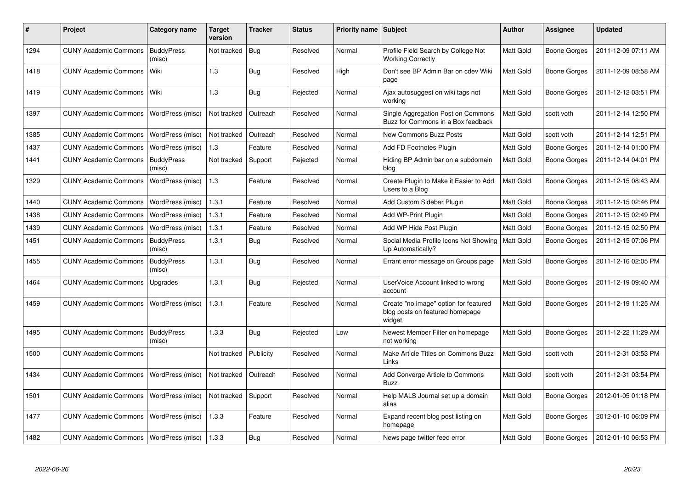| #    | Project                                  | Category name               | <b>Target</b><br>version | <b>Tracker</b> | <b>Status</b> | Priority name Subject |                                                                                    | Author           | <b>Assignee</b>     | <b>Updated</b>      |
|------|------------------------------------------|-----------------------------|--------------------------|----------------|---------------|-----------------------|------------------------------------------------------------------------------------|------------------|---------------------|---------------------|
| 1294 | <b>CUNY Academic Commons</b>             | <b>BuddyPress</b><br>(misc) | Not tracked              | Bug            | Resolved      | Normal                | Profile Field Search by College Not<br><b>Working Correctly</b>                    | Matt Gold        | Boone Gorges        | 2011-12-09 07:11 AM |
| 1418 | <b>CUNY Academic Commons</b>             | Wiki                        | 1.3                      | Bug            | Resolved      | High                  | Don't see BP Admin Bar on cdev Wiki<br>page                                        | Matt Gold        | Boone Gorges        | 2011-12-09 08:58 AM |
| 1419 | <b>CUNY Academic Commons</b>             | Wiki                        | 1.3                      | <b>Bug</b>     | Rejected      | Normal                | Ajax autosuggest on wiki tags not<br>working                                       | Matt Gold        | Boone Gorges        | 2011-12-12 03:51 PM |
| 1397 | <b>CUNY Academic Commons</b>             | WordPress (misc)            | Not tracked              | Outreach       | Resolved      | Normal                | Single Aggregation Post on Commons<br>Buzz for Commons in a Box feedback           | Matt Gold        | scott voth          | 2011-12-14 12:50 PM |
| 1385 | <b>CUNY Academic Commons</b>             | WordPress (misc)            | Not tracked              | Outreach       | Resolved      | Normal                | <b>New Commons Buzz Posts</b>                                                      | <b>Matt Gold</b> | scott voth          | 2011-12-14 12:51 PM |
| 1437 | <b>CUNY Academic Commons</b>             | WordPress (misc)            | 1.3                      | Feature        | Resolved      | Normal                | Add FD Footnotes Plugin                                                            | Matt Gold        | Boone Gorges        | 2011-12-14 01:00 PM |
| 1441 | <b>CUNY Academic Commons</b>             | <b>BuddyPress</b><br>(misc) | Not tracked              | Support        | Rejected      | Normal                | Hiding BP Admin bar on a subdomain<br>blog                                         | Matt Gold        | Boone Gorges        | 2011-12-14 04:01 PM |
| 1329 | <b>CUNY Academic Commons</b>             | WordPress (misc)            | 1.3                      | Feature        | Resolved      | Normal                | Create Plugin to Make it Easier to Add<br>Users to a Blog                          | Matt Gold        | Boone Gorges        | 2011-12-15 08:43 AM |
| 1440 | <b>CUNY Academic Commons</b>             | WordPress (misc)            | 1.3.1                    | Feature        | Resolved      | Normal                | Add Custom Sidebar Plugin                                                          | <b>Matt Gold</b> | <b>Boone Gorges</b> | 2011-12-15 02:46 PM |
| 1438 | <b>CUNY Academic Commons</b>             | WordPress (misc)            | 1.3.1                    | Feature        | Resolved      | Normal                | Add WP-Print Plugin                                                                | Matt Gold        | Boone Gorges        | 2011-12-15 02:49 PM |
| 1439 | <b>CUNY Academic Commons</b>             | WordPress (misc)            | 1.3.1                    | Feature        | Resolved      | Normal                | Add WP Hide Post Plugin                                                            | Matt Gold        | <b>Boone Gorges</b> | 2011-12-15 02:50 PM |
| 1451 | <b>CUNY Academic Commons</b>             | <b>BuddyPress</b><br>(misc) | 1.3.1                    | <b>Bug</b>     | Resolved      | Normal                | Social Media Profile Icons Not Showing<br>Up Automatically?                        | Matt Gold        | Boone Gorges        | 2011-12-15 07:06 PM |
| 1455 | <b>CUNY Academic Commons</b>             | <b>BuddyPress</b><br>(misc) | 1.3.1                    | <b>Bug</b>     | Resolved      | Normal                | Errant error message on Groups page                                                | Matt Gold        | Boone Gorges        | 2011-12-16 02:05 PM |
| 1464 | <b>CUNY Academic Commons</b>             | Upgrades                    | 1.3.1                    | Bug            | Rejected      | Normal                | UserVoice Account linked to wrong<br>account                                       | Matt Gold        | Boone Gorges        | 2011-12-19 09:40 AM |
| 1459 | <b>CUNY Academic Commons</b>             | WordPress (misc)            | 1.3.1                    | Feature        | Resolved      | Normal                | Create "no image" option for featured<br>blog posts on featured homepage<br>widget | <b>Matt Gold</b> | Boone Gorges        | 2011-12-19 11:25 AM |
| 1495 | <b>CUNY Academic Commons</b>             | <b>BuddyPress</b><br>(misc) | 1.3.3                    | Bug            | Rejected      | Low                   | Newest Member Filter on homepage<br>not working                                    | <b>Matt Gold</b> | Boone Gorges        | 2011-12-22 11:29 AM |
| 1500 | <b>CUNY Academic Commons</b>             |                             | Not tracked              | Publicity      | Resolved      | Normal                | Make Article Titles on Commons Buzz<br>Links                                       | <b>Matt Gold</b> | scott voth          | 2011-12-31 03:53 PM |
| 1434 | <b>CUNY Academic Commons</b>             | WordPress (misc)            | Not tracked              | Outreach       | Resolved      | Normal                | Add Converge Article to Commons<br><b>Buzz</b>                                     | <b>Matt Gold</b> | scott voth          | 2011-12-31 03:54 PM |
| 1501 | <b>CUNY Academic Commons</b>             | WordPress (misc)            | Not tracked              | Support        | Resolved      | Normal                | Help MALS Journal set up a domain<br>alias                                         | Matt Gold        | Boone Gorges        | 2012-01-05 01:18 PM |
| 1477 | <b>CUNY Academic Commons</b>             | WordPress (misc)            | 1.3.3                    | Feature        | Resolved      | Normal                | Expand recent blog post listing on<br>homepage                                     | <b>Matt Gold</b> | Boone Gorges        | 2012-01-10 06:09 PM |
| 1482 | CUNY Academic Commons   WordPress (misc) |                             | 1.3.3                    | Bug            | Resolved      | Normal                | News page twitter feed error                                                       | Matt Gold        | Boone Gorges        | 2012-01-10 06:53 PM |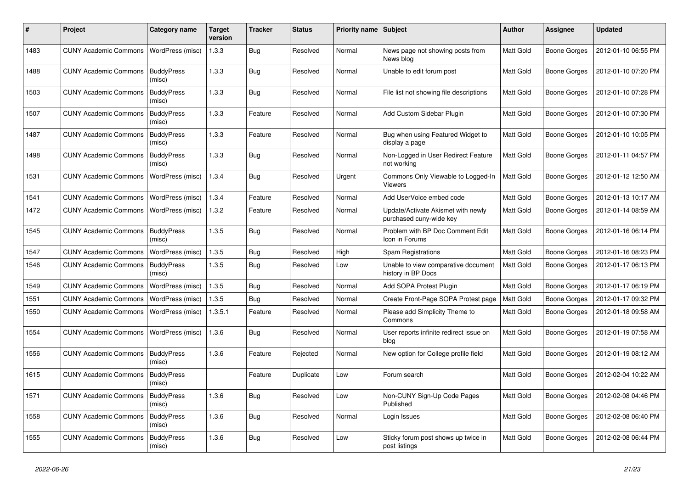| #    | Project                      | Category name               | <b>Target</b><br>version | Tracker    | <b>Status</b> | <b>Priority name</b> | Subject                                                       | Author           | <b>Assignee</b>     | <b>Updated</b>      |
|------|------------------------------|-----------------------------|--------------------------|------------|---------------|----------------------|---------------------------------------------------------------|------------------|---------------------|---------------------|
| 1483 | <b>CUNY Academic Commons</b> | WordPress (misc)            | 1.3.3                    | Bug        | Resolved      | Normal               | News page not showing posts from<br>News blog                 | Matt Gold        | Boone Gorges        | 2012-01-10 06:55 PM |
| 1488 | <b>CUNY Academic Commons</b> | <b>BuddyPress</b><br>(misc) | 1.3.3                    | Bug        | Resolved      | Normal               | Unable to edit forum post                                     | Matt Gold        | Boone Gorges        | 2012-01-10 07:20 PM |
| 1503 | <b>CUNY Academic Commons</b> | <b>BuddyPress</b><br>(misc) | 1.3.3                    | <b>Bug</b> | Resolved      | Normal               | File list not showing file descriptions                       | Matt Gold        | <b>Boone Gorges</b> | 2012-01-10 07:28 PM |
| 1507 | <b>CUNY Academic Commons</b> | <b>BuddyPress</b><br>(misc) | 1.3.3                    | Feature    | Resolved      | Normal               | Add Custom Sidebar Plugin                                     | Matt Gold        | <b>Boone Gorges</b> | 2012-01-10 07:30 PM |
| 1487 | <b>CUNY Academic Commons</b> | <b>BuddyPress</b><br>(misc) | 1.3.3                    | Feature    | Resolved      | Normal               | Bug when using Featured Widget to<br>display a page           | Matt Gold        | Boone Gorges        | 2012-01-10 10:05 PM |
| 1498 | <b>CUNY Academic Commons</b> | <b>BuddyPress</b><br>(misc) | 1.3.3                    | Bug        | Resolved      | Normal               | Non-Logged in User Redirect Feature<br>not working            | Matt Gold        | <b>Boone Gorges</b> | 2012-01-11 04:57 PM |
| 1531 | <b>CUNY Academic Commons</b> | WordPress (misc)            | 1.3.4                    | <b>Bug</b> | Resolved      | Urgent               | Commons Only Viewable to Logged-In<br><b>Viewers</b>          | Matt Gold        | <b>Boone Gorges</b> | 2012-01-12 12:50 AM |
| 1541 | <b>CUNY Academic Commons</b> | WordPress (misc)            | 1.3.4                    | Feature    | Resolved      | Normal               | Add UserVoice embed code                                      | Matt Gold        | Boone Gorges        | 2012-01-13 10:17 AM |
| 1472 | <b>CUNY Academic Commons</b> | WordPress (misc)            | 1.3.2                    | Feature    | Resolved      | Normal               | Update/Activate Akismet with newly<br>purchased cuny-wide key | Matt Gold        | <b>Boone Gorges</b> | 2012-01-14 08:59 AM |
| 1545 | <b>CUNY Academic Commons</b> | <b>BuddyPress</b><br>(misc) | 1.3.5                    | <b>Bug</b> | Resolved      | Normal               | Problem with BP Doc Comment Edit<br>Icon in Forums            | Matt Gold        | Boone Gorges        | 2012-01-16 06:14 PM |
| 1547 | <b>CUNY Academic Commons</b> | WordPress (misc)            | 1.3.5                    | Bug        | Resolved      | High                 | Spam Registrations                                            | Matt Gold        | Boone Gorges        | 2012-01-16 08:23 PM |
| 1546 | <b>CUNY Academic Commons</b> | <b>BuddyPress</b><br>(misc) | 1.3.5                    | Bug        | Resolved      | Low                  | Unable to view comparative document<br>history in BP Docs     | Matt Gold        | <b>Boone Gorges</b> | 2012-01-17 06:13 PM |
| 1549 | <b>CUNY Academic Commons</b> | WordPress (misc)            | 1.3.5                    | Bug        | Resolved      | Normal               | Add SOPA Protest Plugin                                       | <b>Matt Gold</b> | <b>Boone Gorges</b> | 2012-01-17 06:19 PM |
| 1551 | <b>CUNY Academic Commons</b> | WordPress (misc)            | 1.3.5                    | Bug        | Resolved      | Normal               | Create Front-Page SOPA Protest page                           | Matt Gold        | <b>Boone Gorges</b> | 2012-01-17 09:32 PM |
| 1550 | <b>CUNY Academic Commons</b> | WordPress (misc)            | 1.3.5.1                  | Feature    | Resolved      | Normal               | Please add Simplicity Theme to<br>Commons                     | Matt Gold        | <b>Boone Gorges</b> | 2012-01-18 09:58 AM |
| 1554 | <b>CUNY Academic Commons</b> | WordPress (misc)            | 1.3.6                    | <b>Bug</b> | Resolved      | Normal               | User reports infinite redirect issue on<br>blog               | Matt Gold        | <b>Boone Gorges</b> | 2012-01-19 07:58 AM |
| 1556 | <b>CUNY Academic Commons</b> | <b>BuddyPress</b><br>(misc) | 1.3.6                    | Feature    | Rejected      | Normal               | New option for College profile field                          | Matt Gold        | Boone Gorges        | 2012-01-19 08:12 AM |
| 1615 | <b>CUNY Academic Commons</b> | <b>BuddyPress</b><br>(misc) |                          | Feature    | Duplicate     | Low                  | Forum search                                                  | Matt Gold        | Boone Gorges        | 2012-02-04 10:22 AM |
| 1571 | <b>CUNY Academic Commons</b> | <b>BuddyPress</b><br>(misc) | 1.3.6                    | <b>Bug</b> | Resolved      | Low                  | Non-CUNY Sign-Up Code Pages<br>Published                      | Matt Gold        | <b>Boone Gorges</b> | 2012-02-08 04:46 PM |
| 1558 | <b>CUNY Academic Commons</b> | <b>BuddyPress</b><br>(misc) | 1.3.6                    | Bug        | Resolved      | Normal               | Login Issues                                                  | Matt Gold        | <b>Boone Gorges</b> | 2012-02-08 06:40 PM |
| 1555 | <b>CUNY Academic Commons</b> | <b>BuddyPress</b><br>(misc) | 1.3.6                    | Bug        | Resolved      | Low                  | Sticky forum post shows up twice in<br>post listings          | Matt Gold        | <b>Boone Gorges</b> | 2012-02-08 06:44 PM |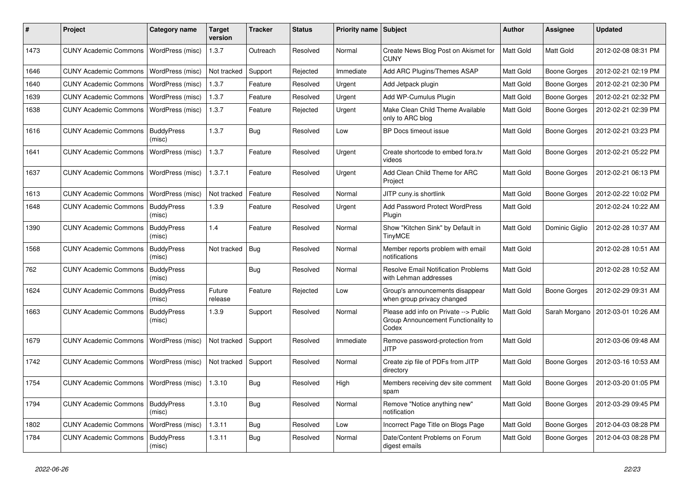| $\#$ | Project                                  | Category name               | Target<br>version | <b>Tracker</b> | <b>Status</b> | Priority name Subject |                                                                                       | <b>Author</b>    | <b>Assignee</b>     | <b>Updated</b>      |
|------|------------------------------------------|-----------------------------|-------------------|----------------|---------------|-----------------------|---------------------------------------------------------------------------------------|------------------|---------------------|---------------------|
| 1473 | <b>CUNY Academic Commons</b>             | WordPress (misc)            | 1.3.7             | Outreach       | Resolved      | Normal                | Create News Blog Post on Akismet for<br><b>CUNY</b>                                   | Matt Gold        | Matt Gold           | 2012-02-08 08:31 PM |
| 1646 | <b>CUNY Academic Commons</b>             | WordPress (misc)            | Not tracked       | Support        | Rejected      | Immediate             | Add ARC Plugins/Themes ASAP                                                           | Matt Gold        | <b>Boone Gorges</b> | 2012-02-21 02:19 PM |
| 1640 | <b>CUNY Academic Commons</b>             | WordPress (misc)            | 1.3.7             | Feature        | Resolved      | Urgent                | Add Jetpack plugin                                                                    | Matt Gold        | <b>Boone Gorges</b> | 2012-02-21 02:30 PM |
| 1639 | <b>CUNY Academic Commons</b>             | WordPress (misc)            | 1.3.7             | Feature        | Resolved      | Urgent                | Add WP-Cumulus Plugin                                                                 | Matt Gold        | <b>Boone Gorges</b> | 2012-02-21 02:32 PM |
| 1638 | <b>CUNY Academic Commons</b>             | WordPress (misc)            | 1.3.7             | Feature        | Rejected      | Urgent                | Make Clean Child Theme Available<br>only to ARC blog                                  | Matt Gold        | <b>Boone Gorges</b> | 2012-02-21 02:39 PM |
| 1616 | <b>CUNY Academic Commons</b>             | <b>BuddyPress</b><br>(misc) | 1.3.7             | <b>Bug</b>     | Resolved      | Low                   | BP Docs timeout issue                                                                 | Matt Gold        | <b>Boone Gorges</b> | 2012-02-21 03:23 PM |
| 1641 | <b>CUNY Academic Commons</b>             | WordPress (misc)            | 1.3.7             | Feature        | Resolved      | Urgent                | Create shortcode to embed fora.tv<br>videos                                           | Matt Gold        | <b>Boone Gorges</b> | 2012-02-21 05:22 PM |
| 1637 | <b>CUNY Academic Commons</b>             | WordPress (misc)            | 1.3.7.1           | Feature        | Resolved      | Urgent                | Add Clean Child Theme for ARC<br>Project                                              | Matt Gold        | <b>Boone Gorges</b> | 2012-02-21 06:13 PM |
| 1613 | <b>CUNY Academic Commons</b>             | WordPress (misc)            | Not tracked       | Feature        | Resolved      | Normal                | JITP cuny.is shortlink                                                                | Matt Gold        | <b>Boone Gorges</b> | 2012-02-22 10:02 PM |
| 1648 | <b>CUNY Academic Commons</b>             | <b>BuddyPress</b><br>(misc) | 1.3.9             | Feature        | Resolved      | Urgent                | Add Password Protect WordPress<br>Plugin                                              | Matt Gold        |                     | 2012-02-24 10:22 AM |
| 1390 | <b>CUNY Academic Commons</b>             | <b>BuddyPress</b><br>(misc) | 1.4               | Feature        | Resolved      | Normal                | Show "Kitchen Sink" by Default in<br><b>TinyMCE</b>                                   | Matt Gold        | Dominic Giglio      | 2012-02-28 10:37 AM |
| 1568 | <b>CUNY Academic Commons</b>             | <b>BuddyPress</b><br>(misc) | Not tracked       | Bug            | Resolved      | Normal                | Member reports problem with email<br>notifications                                    | Matt Gold        |                     | 2012-02-28 10:51 AM |
| 762  | <b>CUNY Academic Commons</b>             | <b>BuddyPress</b><br>(misc) |                   | <b>Bug</b>     | Resolved      | Normal                | <b>Resolve Email Notification Problems</b><br>with Lehman addresses                   | <b>Matt Gold</b> |                     | 2012-02-28 10:52 AM |
| 1624 | <b>CUNY Academic Commons</b>             | <b>BuddyPress</b><br>(misc) | Future<br>release | Feature        | Rejected      | Low                   | Group's announcements disappear<br>when group privacy changed                         | Matt Gold        | <b>Boone Gorges</b> | 2012-02-29 09:31 AM |
| 1663 | <b>CUNY Academic Commons</b>             | <b>BuddyPress</b><br>(misc) | 1.3.9             | Support        | Resolved      | Normal                | Please add info on Private --> Public<br>Group Announcement Functionality to<br>Codex | Matt Gold        | Sarah Morgano       | 2012-03-01 10:26 AM |
| 1679 | <b>CUNY Academic Commons</b>             | WordPress (misc)            | Not tracked       | Support        | Resolved      | Immediate             | Remove password-protection from<br><b>JITP</b>                                        | <b>Matt Gold</b> |                     | 2012-03-06 09:48 AM |
| 1742 | <b>CUNY Academic Commons</b>             | WordPress (misc)            | Not tracked       | Support        | Resolved      | Normal                | Create zip file of PDFs from JITP<br>directory                                        | Matt Gold        | <b>Boone Gorges</b> | 2012-03-16 10:53 AM |
| 1754 | CUNY Academic Commons   WordPress (misc) |                             | 1.3.10            | Bug            | Resolved      | High                  | Members receiving dev site comment<br>spam                                            | Matt Gold        | <b>Boone Gorges</b> | 2012-03-20 01:05 PM |
| 1794 | <b>CUNY Academic Commons</b>             | <b>BuddyPress</b><br>(misc) | 1.3.10            | <b>Bug</b>     | Resolved      | Normal                | Remove "Notice anything new"<br>notification                                          | Matt Gold        | <b>Boone Gorges</b> | 2012-03-29 09:45 PM |
| 1802 | <b>CUNY Academic Commons</b>             | WordPress (misc)            | 1.3.11            | Bug            | Resolved      | Low                   | Incorrect Page Title on Blogs Page                                                    | Matt Gold        | <b>Boone Gorges</b> | 2012-04-03 08:28 PM |
| 1784 | <b>CUNY Academic Commons</b>             | <b>BuddyPress</b><br>(misc) | 1.3.11            | <b>Bug</b>     | Resolved      | Normal                | Date/Content Problems on Forum<br>digest emails                                       | Matt Gold        | <b>Boone Gorges</b> | 2012-04-03 08:28 PM |